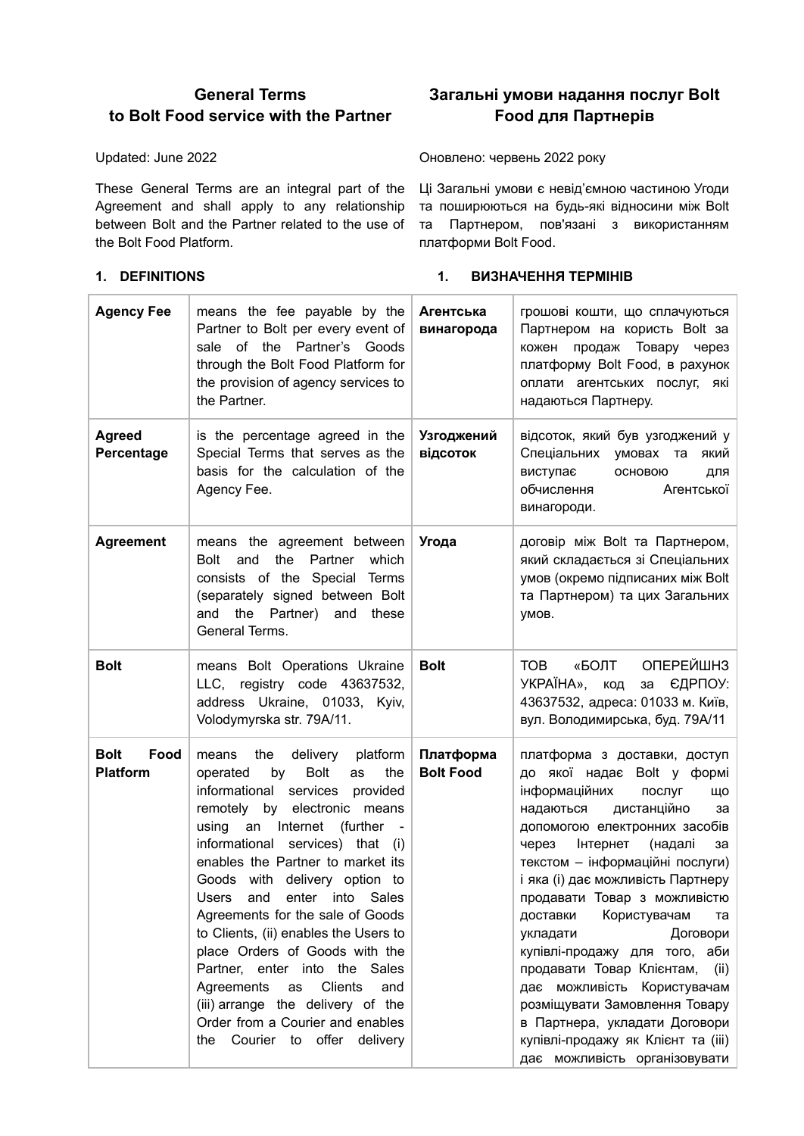# **General Terms to Bolt Food service with the Partner**

Updated: June 2022

These General Terms are an integral part of the Ці Загальні умови є невід'ємною частиною Угоди Agreement and shall apply to any relationship та поширюються на будь-які відносини між Bolt between Bolt and the Partner related to the use of та Партнером, пов'язані з використанням the Bolt Food Platform.

# **Загальні умови надання послуг Bolt Food для Партнерів**

Оновлено: червень 2022 року

платформи Bolt Food.

# **1. DEFINITIONS 1. ВИЗНАЧЕННЯ ТЕРМІНІВ**

| <b>Agency Fee</b>                      | means the fee payable by the<br>Partner to Bolt per every event of<br>of the Partner's Goods<br>sale<br>through the Bolt Food Platform for<br>the provision of agency services to<br>the Partner.                                                                                                                                                                                                                                                                                                                                                                                                                                                      | Агентська<br>винагорода       | грошові кошти, що сплачуються<br>Партнером на користь Bolt за<br>Товару<br>кожен<br>продаж<br>через<br>платформу Bolt Food, в рахунок<br>оплати агентських послуг, які<br>надаються Партнеру.                                                                                                                                                                                                                                                                                                                                                                                                                  |
|----------------------------------------|--------------------------------------------------------------------------------------------------------------------------------------------------------------------------------------------------------------------------------------------------------------------------------------------------------------------------------------------------------------------------------------------------------------------------------------------------------------------------------------------------------------------------------------------------------------------------------------------------------------------------------------------------------|-------------------------------|----------------------------------------------------------------------------------------------------------------------------------------------------------------------------------------------------------------------------------------------------------------------------------------------------------------------------------------------------------------------------------------------------------------------------------------------------------------------------------------------------------------------------------------------------------------------------------------------------------------|
| <b>Agreed</b><br>Percentage            | is the percentage agreed in the<br>Special Terms that serves as the<br>basis for the calculation of the<br>Agency Fee.                                                                                                                                                                                                                                                                                                                                                                                                                                                                                                                                 | Узгоджений<br>відсоток        | відсоток, який був узгоджений у<br>Спеціальних<br>умовах та<br>який<br>виступає<br>ОСНОВОЮ<br>для<br>обчислення<br>Агентської<br>винагороди.                                                                                                                                                                                                                                                                                                                                                                                                                                                                   |
| <b>Agreement</b>                       | means the agreement between<br><b>Bolt</b><br>and<br>the<br>Partner<br>which<br>consists of the Special Terms<br>(separately signed between Bolt<br>the Partner) and<br>and<br>these<br>General Terms.                                                                                                                                                                                                                                                                                                                                                                                                                                                 | Угода                         | договір між Bolt та Партнером,<br>який складається зі Спеціальних<br>умов (окремо підписаних між Bolt<br>та Партнером) та цих Загальних<br>умов.                                                                                                                                                                                                                                                                                                                                                                                                                                                               |
| <b>Bolt</b>                            | means Bolt Operations Ukraine<br>LLC, registry code 43637532,<br>address Ukraine, 01033, Kyiv,<br>Volodymyrska str. 79A/11.                                                                                                                                                                                                                                                                                                                                                                                                                                                                                                                            | <b>Bolt</b>                   | ОПЕРЕЙШНЗ<br><b>TOB</b><br>«БОЛТ<br><b>YKPAÏHA»,</b><br>ЄДРПОУ:<br>код<br>за<br>43637532, адреса: 01033 м. Київ,<br>вул. Володимирська, буд. 79А/11                                                                                                                                                                                                                                                                                                                                                                                                                                                            |
| <b>Bolt</b><br>Food<br><b>Platform</b> | the<br>delivery<br>platform<br>means<br><b>Bolt</b><br>the<br>operated<br>by<br>as<br>informational<br>services<br>provided<br>electronic means<br>remotely<br>by<br>using<br>an<br>Internet<br>(further<br>informational services) that<br>(i)<br>enables the Partner to market its<br>Goods with delivery option to<br>Users<br>and enter into Sales<br>Agreements for the sale of Goods<br>to Clients, (ii) enables the Users to<br>place Orders of Goods with the<br>Partner, enter into the Sales<br>Clients<br>Agreements<br>as<br>and<br>(iii) arrange the delivery of the<br>Order from a Courier and enables<br>the Courier to offer delivery | Платформа<br><b>Bolt Food</b> | платформа з доставки, доступ<br>до якої надає Bolt у формі<br>інформаційних<br>послуг<br>ЩΟ<br>дистанційно<br>надаються<br>за<br>допомогою електронних засобів<br>Інтернет<br>(надалі<br>через<br>за<br>текстом - інформаційні послуги)<br>і яка (i) дає можливість Партнеру<br>продавати Товар з можливістю<br>доставки Користувачам<br>та<br>Договори<br>укладати<br>купівлі-продажу для того, аби<br>продавати Товар Клієнтам, (ii)<br>дає можливість Користувачам<br>розміщувати Замовлення Товару<br>в Партнера, укладати Договори<br>купівлі-продажу як Клієнт та (iii)<br>дає можливість організовувати |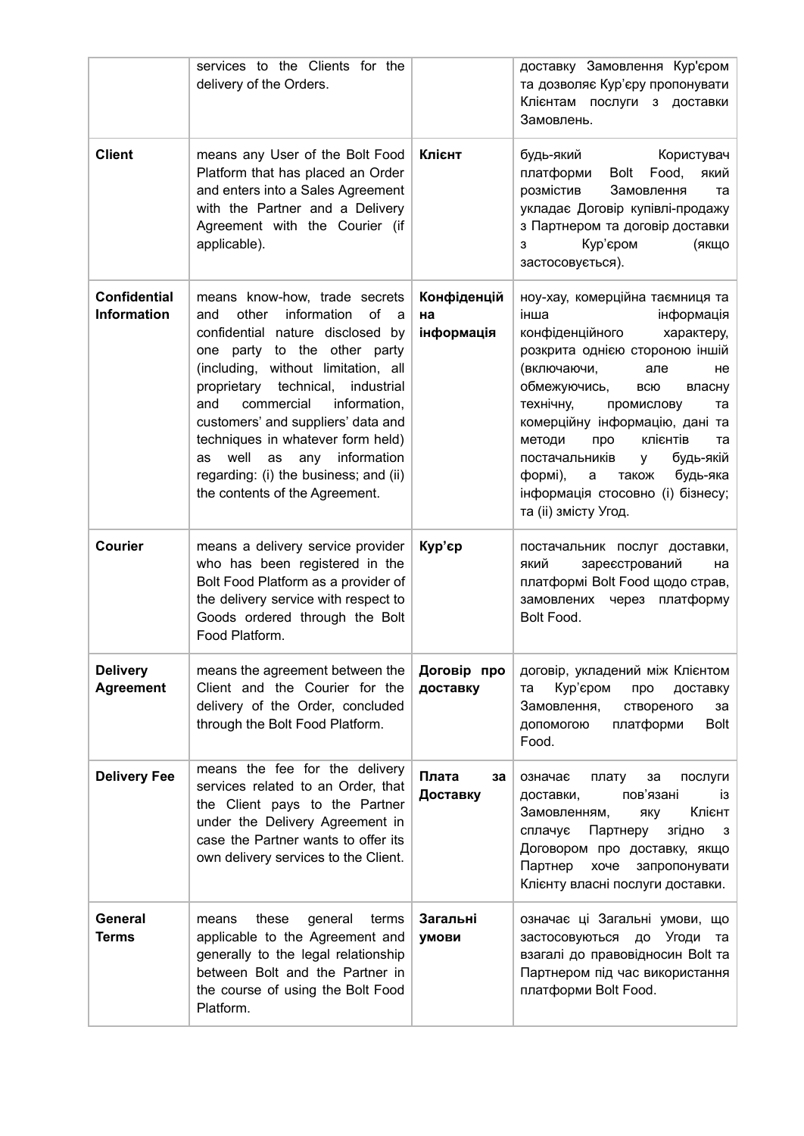|                                           | services to the Clients for the<br>delivery of the Orders.                                                                                                                                                                                                                                                                                                                                                                                                            |                                 | доставку Замовлення Кур'єром<br>та дозволяє Кур'єру пропонувати<br>Клієнтам послуги з доставки<br>Замовлень.                                                                                                                                                                                                                                                                                                                     |
|-------------------------------------------|-----------------------------------------------------------------------------------------------------------------------------------------------------------------------------------------------------------------------------------------------------------------------------------------------------------------------------------------------------------------------------------------------------------------------------------------------------------------------|---------------------------------|----------------------------------------------------------------------------------------------------------------------------------------------------------------------------------------------------------------------------------------------------------------------------------------------------------------------------------------------------------------------------------------------------------------------------------|
| <b>Client</b>                             | means any User of the Bolt Food<br>Platform that has placed an Order<br>and enters into a Sales Agreement<br>with the Partner and a Delivery<br>Agreement with the Courier (if<br>applicable).                                                                                                                                                                                                                                                                        | Клієнт                          | Користувач<br>будь-який<br>Food,<br>платформи<br>Bolt<br>який<br>розмістив<br>Замовлення<br>та<br>укладає Договір купівлі-продажу<br>з Партнером та договір доставки<br>Кур'єром<br>(якщо<br>з<br>застосовується).                                                                                                                                                                                                               |
| <b>Confidential</b><br><b>Information</b> | means know-how, trade secrets<br>other<br>information<br>of<br>and<br>a<br>confidential nature disclosed by<br>to the other party<br>one party<br>(including, without limitation, all<br>technical,<br>industrial<br>proprietary<br>and<br>commercial<br>information,<br>customers' and suppliers' data and<br>techniques in whatever form held)<br>well<br>information<br>as<br>any<br>as<br>regarding: (i) the business; and (ii)<br>the contents of the Agreement. | Конфіденцій<br>на<br>інформація | ноу-хау, комерційна таємниця та<br>інформація<br>інша<br>конфіденційного<br>характеру,<br>розкрита однією стороною іншій<br>(включаючи,<br>але<br>не<br>обмежуючись,<br>всю<br>власну<br>технічну,<br>промислову<br>та<br>комерційну інформацію, дані та<br>клієнтів<br>методи<br>про<br>та<br>постачальників<br>будь-якій<br>y<br>формі),<br>будь-яка<br>a<br>також<br>інформація стосовно (i) бізнесу;<br>та (ii) змісту Угод. |
| <b>Courier</b>                            | means a delivery service provider<br>who has been registered in the<br>Bolt Food Platform as a provider of<br>the delivery service with respect to<br>Goods ordered through the Bolt<br>Food Platform.                                                                                                                                                                                                                                                                | Кур'єр                          | постачальник послуг доставки,<br>який<br>зареєстрований<br>на<br>платформі Bolt Food щодо страв,<br>замовлених через<br>платформу<br>Bolt Food.                                                                                                                                                                                                                                                                                  |
| <b>Delivery</b><br><b>Agreement</b>       | means the agreement between the<br>Client and the Courier for the<br>delivery of the Order, concluded<br>through the Bolt Food Platform.                                                                                                                                                                                                                                                                                                                              | Договір про<br>доставку         | договір, укладений між Клієнтом<br>Кур'єром<br>про<br>доставку<br>та<br>Замовлення,<br>створеного<br>за<br>платформи<br>Bolt<br>допомогою<br>Food.                                                                                                                                                                                                                                                                               |
| <b>Delivery Fee</b>                       | means the fee for the delivery<br>services related to an Order, that<br>the Client pays to the Partner<br>under the Delivery Agreement in<br>case the Partner wants to offer its<br>own delivery services to the Client.                                                                                                                                                                                                                                              | Плата<br>за<br>Доставку         | означає<br>послуги<br>плату<br>за<br>пов'язані<br>доставки,<br>İ3<br>Клієнт<br>Замовленням,<br>яку<br>сплачує<br>Партнеру<br>згідно<br>3<br>Договором про доставку, якщо<br>Партнер<br>запропонувати<br>хоче<br>Клієнту власні послуги доставки.                                                                                                                                                                                 |
| General<br>Terms                          | these<br>general<br>terms<br>means<br>applicable to the Agreement and<br>generally to the legal relationship<br>between Bolt and the Partner in<br>the course of using the Bolt Food<br>Platform.                                                                                                                                                                                                                                                                     | Загальні<br>умови               | означає ці Загальні умови, що<br>застосовуються до Угоди<br>та<br>взагалі до правовідносин Bolt та<br>Партнером під час використання<br>платформи Bolt Food.                                                                                                                                                                                                                                                                     |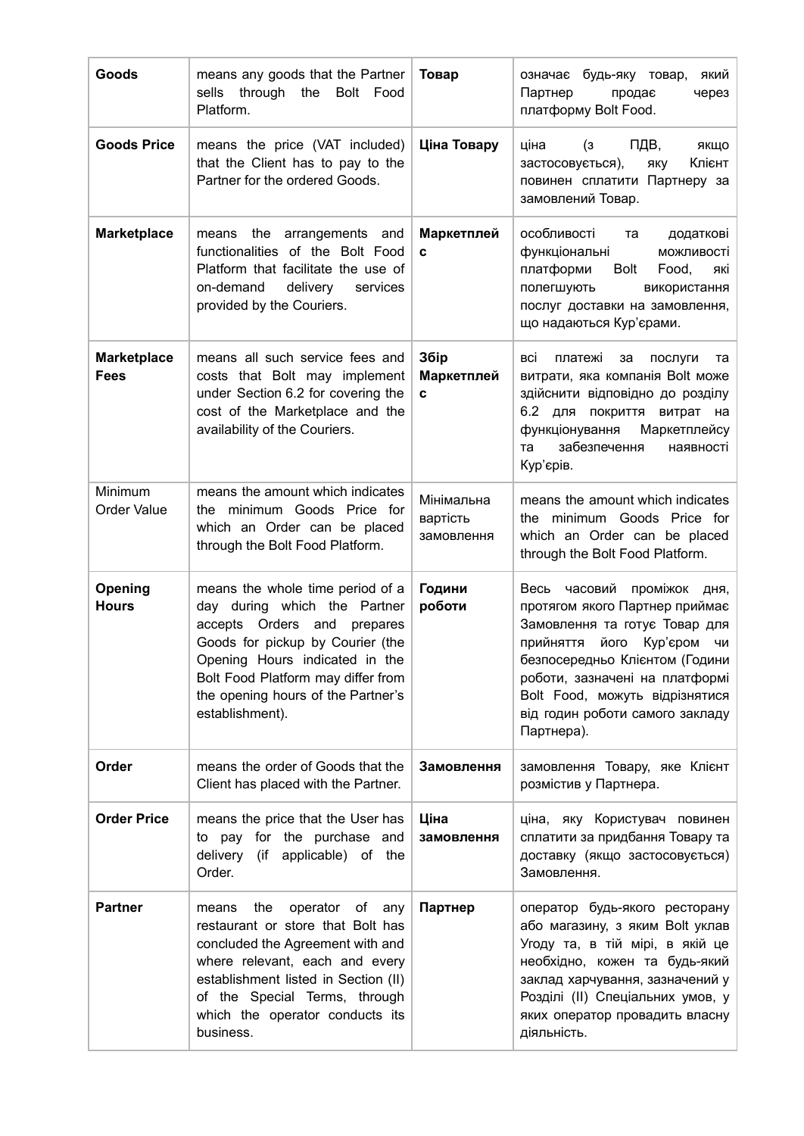| Goods                             | means any goods that the Partner<br>sells<br>through<br>Bolt Food<br>the<br>Platform.                                                                                                                                                                                   | Товар                                | будь-яку товар,<br>який<br>означає<br>Партнер<br>через<br>продає<br>платформу Bolt Food.                                                                                                                                                                                                             |
|-----------------------------------|-------------------------------------------------------------------------------------------------------------------------------------------------------------------------------------------------------------------------------------------------------------------------|--------------------------------------|------------------------------------------------------------------------------------------------------------------------------------------------------------------------------------------------------------------------------------------------------------------------------------------------------|
| <b>Goods Price</b>                | means the price (VAT included)<br>that the Client has to pay to the<br>Partner for the ordered Goods.                                                                                                                                                                   | Ціна Товару                          | ціна<br>ПДВ,<br>$\mathbf{a}$<br>якщо<br>Клієнт<br>яку<br>застосовується),<br>повинен сплатити Партнеру за<br>замовлений Товар.                                                                                                                                                                       |
| <b>Marketplace</b>                | means the arrangements and<br>functionalities of the Bolt Food<br>Platform that facilitate the use of<br>on-demand<br>delivery<br>services<br>provided by the Couriers.                                                                                                 | Маркетплей<br>C                      | особливості<br>додаткові<br>та<br>функціональні<br>можливості<br>платформи<br>Bolt<br>Food,<br>які<br>полегшують<br>використання<br>послуг доставки на замовлення,<br>що надаються Кур'єрами.                                                                                                        |
| <b>Marketplace</b><br><b>Fees</b> | means all such service fees and<br>costs that Bolt may implement<br>under Section 6.2 for covering the<br>cost of the Marketplace and the<br>availability of the Couriers.                                                                                              | Збір<br>Маркетплей<br>C              | BCİ<br>платежі<br>за<br>послуги<br>та<br>витрати, яка компанія Bolt може<br>здійснити відповідно до розділу<br>6.2 для<br>покриття<br>витрат<br>на<br>функціонування<br><b>Маркетплейсу</b><br>забезпечення<br>та<br>наявності<br>Кур'єрів.                                                          |
| Minimum<br>Order Value            | means the amount which indicates<br>minimum Goods Price for<br>the<br>which an Order can be placed<br>through the Bolt Food Platform.                                                                                                                                   | Мінімальна<br>вартість<br>замовлення | means the amount which indicates<br>the minimum Goods Price for<br>which an Order can be placed<br>through the Bolt Food Platform.                                                                                                                                                                   |
| Opening<br><b>Hours</b>           | means the whole time period of a<br>day during which the Partner<br>accepts Orders and<br>prepares<br>Goods for pickup by Courier (the<br>Opening Hours indicated in the<br>Bolt Food Platform may differ from<br>the opening hours of the Partner's<br>establishment). | Години<br>роботи                     | Весь<br>часовий<br>проміжок<br>дня,<br>протягом якого Партнер приймає<br>Замовлення та готує Товар для<br>прийняття<br>його<br>Кур'єром<br>ЧИ<br>безпосередньо Клієнтом (Години<br>роботи, зазначені на платформі<br>Bolt Food, можуть відрізнятися<br>від годин роботи самого закладу<br>Партнера). |
| Order                             | means the order of Goods that the<br>Client has placed with the Partner.                                                                                                                                                                                                | Замовлення                           | замовлення Товару, яке Клієнт<br>розмістив у Партнера.                                                                                                                                                                                                                                               |
| <b>Order Price</b>                | means the price that the User has<br>to pay for the purchase and<br>delivery (if applicable) of the<br>Order.                                                                                                                                                           | Ціна<br>замовлення                   | ціна, яку Користувач повинен<br>сплатити за придбання Товару та<br>доставку (якщо застосовується)<br>Замовлення.                                                                                                                                                                                     |
| <b>Partner</b>                    | operator of<br>means<br>the<br>any<br>restaurant or store that Bolt has<br>concluded the Agreement with and<br>where relevant, each and every<br>establishment listed in Section (II)<br>of the Special Terms, through<br>which the operator conducts its<br>business.  | Партнер                              | оператор будь-якого ресторану<br>або магазину, з яким Bolt уклав<br>Угоду та, в тій мірі, в якій це<br>необхідно, кожен та будь-який<br>заклад харчування, зазначений у<br>Розділі (II) Спеціальних умов, у<br>яких оператор провадить власну<br>діяльність.                                         |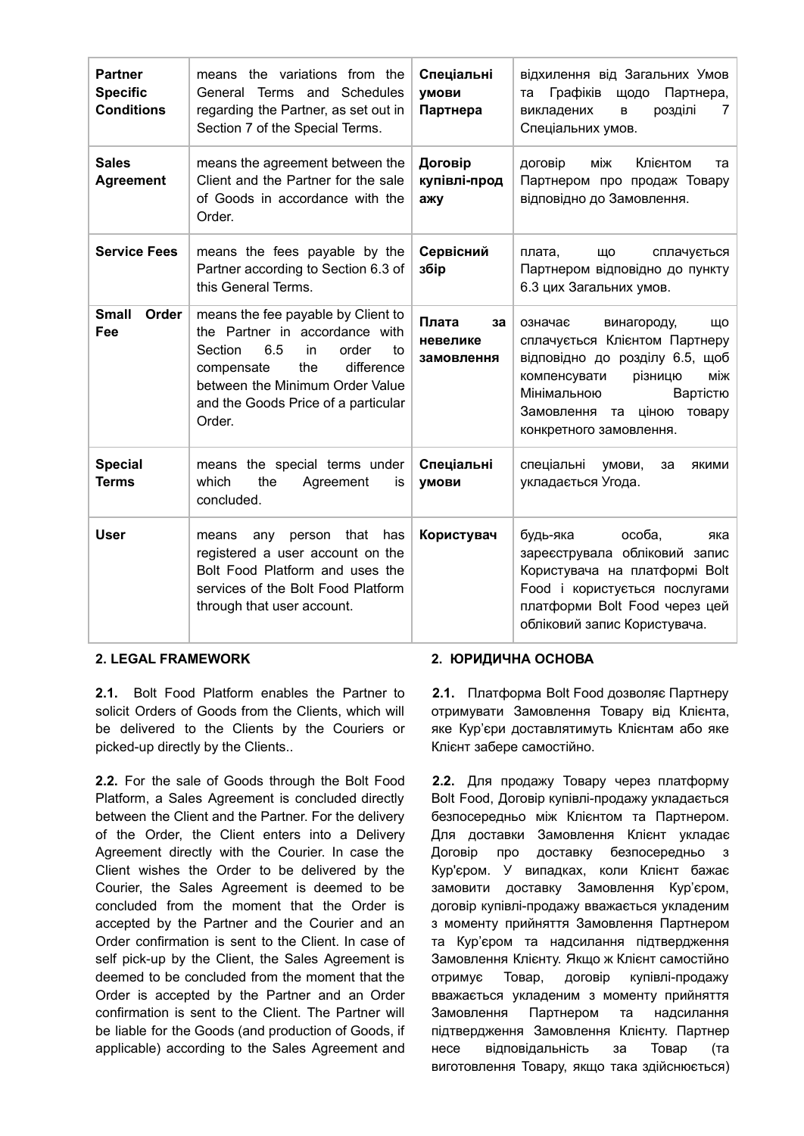| <b>Partner</b><br><b>Specific</b><br><b>Conditions</b> | means the variations from the<br>Schedules<br>General<br>Terms and<br>regarding the Partner, as set out in<br>Section 7 of the Special Terms.                                                                                      | Спеціальні<br>умови<br>Партнера       | відхилення від Загальних Умов<br>Графіків<br>Партнера,<br>ЩОДО<br>та<br>розділі<br>викладених<br>7<br>B<br>Спеціальних умов.                                                                                                   |
|--------------------------------------------------------|------------------------------------------------------------------------------------------------------------------------------------------------------------------------------------------------------------------------------------|---------------------------------------|--------------------------------------------------------------------------------------------------------------------------------------------------------------------------------------------------------------------------------|
| <b>Sales</b><br><b>Agreement</b>                       | means the agreement between the<br>Client and the Partner for the sale<br>of Goods in accordance with the<br>Order.                                                                                                                | Договір<br>купівлі-прод<br>ажу        | Клієнтом<br>договір<br>між<br>та<br>Партнером про продаж Товару<br>відповідно до Замовлення.                                                                                                                                   |
| <b>Service Fees</b>                                    | means the fees payable by the<br>Partner according to Section 6.3 of<br>this General Terms.                                                                                                                                        | Сервісний<br>збір                     | плата,<br>сплачується<br>Щ٥<br>Партнером відповідно до пункту<br>6.3 цих Загальних умов.                                                                                                                                       |
| <b>Small</b><br>Order<br>Fee                           | means the fee payable by Client to<br>the Partner in accordance with<br>6.5<br>Section<br>in<br>order<br>to<br>difference<br>the<br>compensate<br>between the Minimum Order Value<br>and the Goods Price of a particular<br>Order. | Плата<br>за<br>невелике<br>замовлення | означає<br>винагороду,<br>Щ٥<br>сплачується Клієнтом Партнеру<br>відповідно до розділу 6.5, щоб<br>між<br>компенсувати<br>різницю<br>Мінімальною<br>Вартістю<br>Замовлення<br>товару<br>ціною<br>та<br>конкретного замовлення. |
| <b>Special</b><br><b>Terms</b>                         | means the special terms under<br>which<br>the<br>Agreement<br>İS<br>concluded.                                                                                                                                                     | Спеціальні<br><b>УМОВИ</b>            | спеціальні<br>умови,<br>за<br>якими<br>укладається Угода.                                                                                                                                                                      |
| <b>User</b>                                            | that has<br>person<br>means<br>any<br>registered a user account on the<br>Bolt Food Platform and uses the<br>services of the Bolt Food Platform<br>through that user account.                                                      | Користувач                            | особа.<br>будь-яка<br>яка<br>зареєструвала обліковий запис<br>Користувача на платформі Bolt<br>Food і користується послугами<br>платформи Bolt Food через цей<br>обліковий запис Користувача.                                  |

**2.1.** Bolt Food Platform enables the Partner to solicit Orders of Goods from the Clients, which will be delivered to the Clients by the Couriers or picked-up directly by the Clients..

**2.2.** For the sale of Goods through the Bolt Food Platform, a Sales Agreement is concluded directly between the Client and the Partner. For the delivery of the Order, the Client enters into a Delivery Agreement directly with the Courier. In case the Client wishes the Order to be delivered by the Courier, the Sales Agreement is deemed to be concluded from the moment that the Order is accepted by the Partner and the Courier and an Order confirmation is sent to the Client. In case of self pick-up by the Client, the Sales Agreement is deemed to be concluded from the moment that the Order is accepted by the Partner and an Order confirmation is sent to the Client. The Partner will be liable for the Goods (and production of Goods, if applicable) according to the Sales Agreement and

# **2. LEGAL FRAMEWORK 2. ЮРИДИЧНА ОСНОВА**

**2.1.** Платформа Bolt Food дозволяє Партнеру отримувати Замовлення Товару від Клієнта, яке Кур'єри доставлятимуть Клієнтам або яке Клієнт забере самостійно.

**2.2.** Для продажу Товару через платформу Bolt Food, Договір купівлі-продажу укладається безпосередньо між Клієнтом та Партнером. Для доставки Замовлення Клієнт укладає Договір про доставку безпосередньо з Кур'єром. У випадках, коли Клієнт бажає замовити доставку Замовлення Кур'єром, договір купівлі-продажу вважається укладеним з моменту прийняття Замовлення Партнером та Кур'єром та надсилання підтвердження Замовлення Клієнту. Якщо ж Клієнт самостійно отримує Товар, договір купівлі-продажу вважається укладеним з моменту прийняття Замовлення Партнером та надсилання підтвердження Замовлення Клієнту. Партнер несе відповідальність за Товар (та виготовлення Товару, якщо така здійснюється)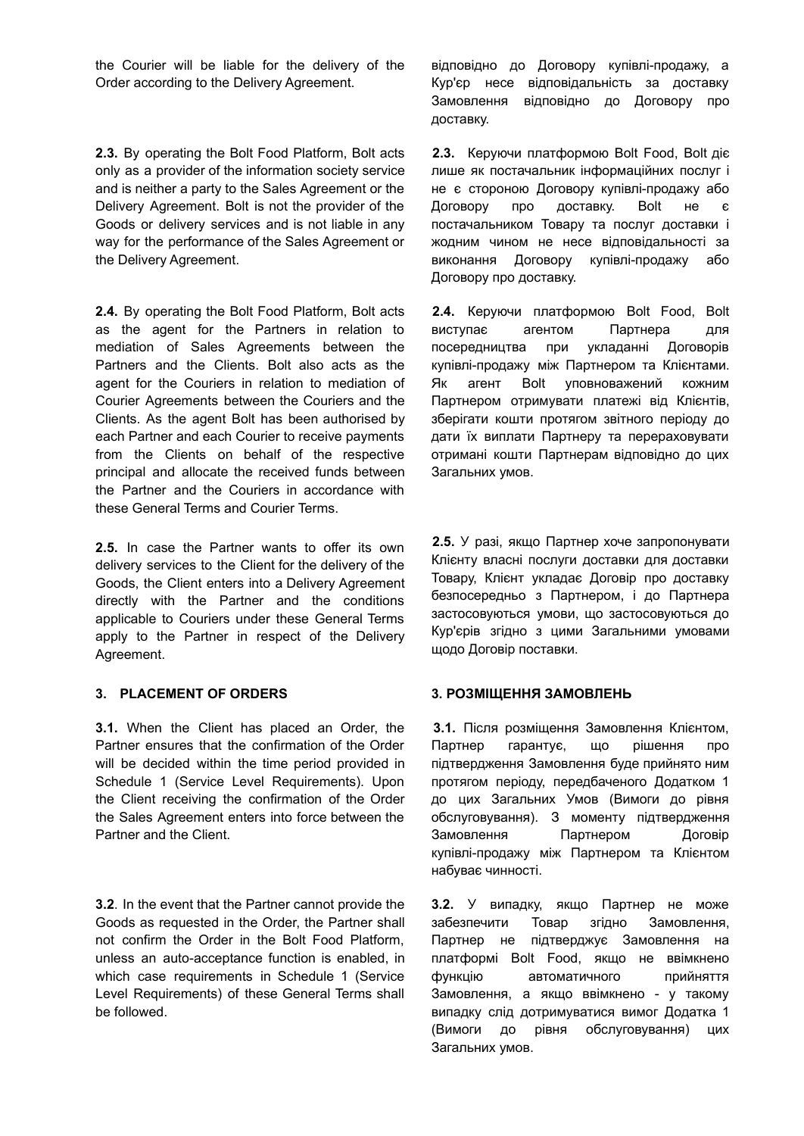the Courier will be liable for the delivery of the Order according to the Delivery Agreement.

**2.3.** By operating the Bolt Food Platform, Bolt acts only as a provider of the information society service and is neither a party to the Sales Agreement or the Delivery Agreement. Bolt is not the provider of the Goods or delivery services and is not liable in any way for the performance of the Sales Agreement or the Delivery Agreement.

**2.4.** By operating the Bolt Food Platform, Bolt acts as the agent for the Partners in relation to mediation of Sales Agreements between the Partners and the Clients. Bolt also acts as the agent for the Couriers in relation to mediation of Courier Agreements between the Couriers and the Clients. As the agent Bolt has been authorised by each Partner and each Courier to receive payments from the Clients on behalf of the respective principal and allocate the received funds between the Partner and the Couriers in accordance with these General Terms and Courier Terms.

**2.5.** In case the Partner wants to offer its own delivery services to the Client for the delivery of the Goods, the Client enters into a Delivery Agreement directly with the Partner and the conditions applicable to Couriers under these General Terms apply to the Partner in respect of the Delivery Agreement.

**3.1.** When the Client has placed an Order, the Partner ensures that the confirmation of the Order will be decided within the time period provided in Schedule 1 (Service Level Requirements). Upon the Client receiving the confirmation of the Order the Sales Agreement enters into force between the Partner and the Client.

**3.2**. In the event that the Partner cannot provide the Goods as requested in the Order, the Partner shall not confirm the Order in the Bolt Food Platform, unless an auto-acceptance function is enabled, in which case requirements in Schedule 1 (Service Level Requirements) of these General Terms shall be followed.

відповідно до Договору купівлі-продажу, а Кур'єр несе відповідальність за доставку Замовлення відповідно до Договору про доставку.

**2.3.** Керуючи платформою Bolt Food, Bolt діє лише як постачальник інформаційних послуг і не є стороною Договору купівлі-продажу або Договору про доставку. Bolt не є постачальником Товару та послуг доставки і жодним чином не несе відповідальності за виконання Договору купівлі-продажу або Договору про доставку.

**2.4.** Керуючи платформою Bolt Food, Bolt виступає агентом Партнера для посередництва при укладанні Договорів купівлі-продажу між Партнером та Клієнтами. Як агент Bolt уповноважений кожним Партнером отримувати платежі від Клієнтів, зберігати кошти протягом звітного періоду до дати їх виплати Партнеру та перераховувати отримані кошти Партнерам відповідно до цих Загальних умов.

**2.5.** У разі, якщо Партнер хоче запропонувати Клієнту власні послуги доставки для доставки Товару, Клієнт укладає Договір про доставку безпосередньо з Партнером, і до Партнера застосовуються умови, що застосовуються до Кур'єрів згідно з цими Загальними умовами щодо Договір поставки.

# **3. PLACEMENT OF ORDERS 3. РОЗМІЩЕННЯ ЗАМОВЛЕНЬ**

**3.1.** Після розміщення Замовлення Клієнтом, Партнер гарантує, що рішення про підтвердження Замовлення буде прийнято ним протягом періоду, передбаченого Додатком 1 до цих Загальних Умов (Вимоги до рівня обслуговування). З моменту підтвердження Замовлення Партнером Договір купівлі-продажу між Партнером та Клієнтом набуває чинності.

**3.2.** У випадку, якщо Партнер не може забезпечити Товар згідно Замовлення, Партнер не підтверджує Замовлення на платформі Bolt Food, якщо не ввімкнено функцію автоматичного прийняття Замовлення, а якщо ввімкнено - у такому випадку слід дотримуватися вимог Додатка 1 (Вимоги до рівня обслуговування) цих Загальних умов.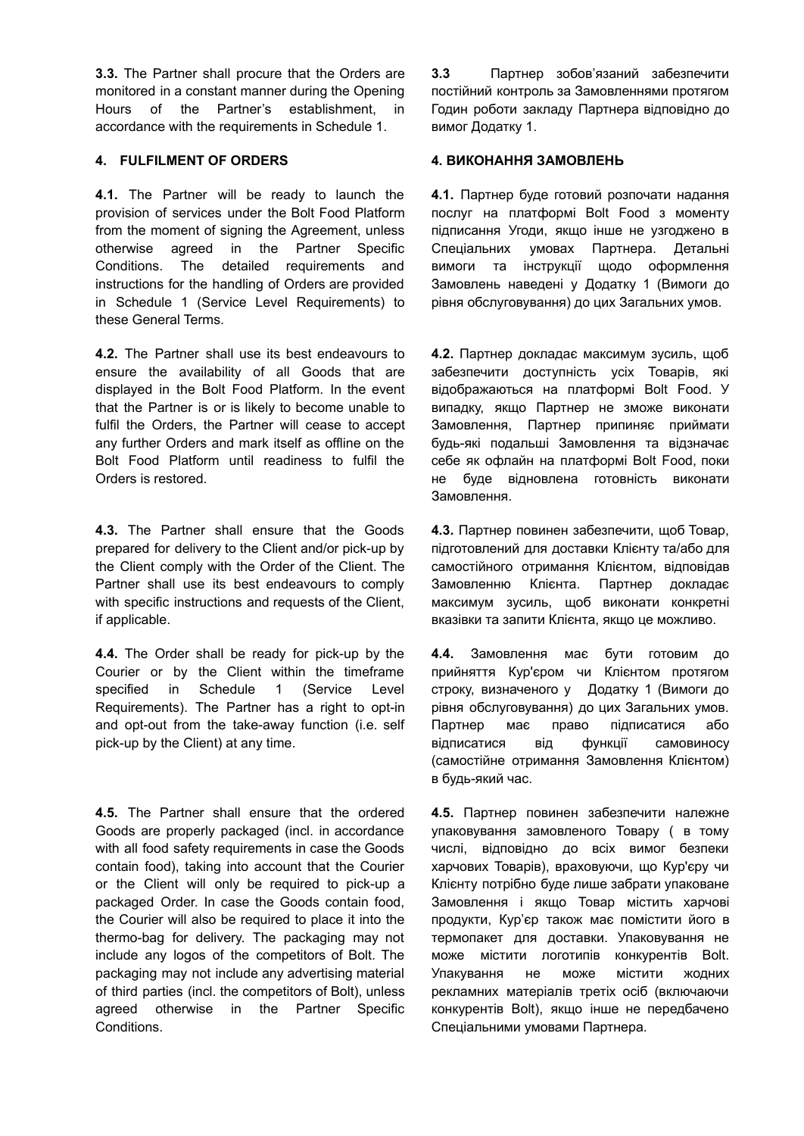**3.3.** The Partner shall procure that the Orders are monitored in a constant manner during the Opening Hours of the Partner's establishment, in accordance with the requirements in Schedule 1.

# **4. FULFILMENT OF ORDERS 4. ВИКОНАННЯ ЗАМОВЛЕНЬ**

**4.1.** The Partner will be ready to launch the provision of services under the Bolt Food Platform from the moment of signing the Agreement, unless otherwise agreed in the Partner Specific Conditions. The detailed requirements and instructions for the handling of Orders are provided in Schedule 1 (Service Level Requirements) to these General Terms.

**4.2.** The Partner shall use its best endeavours to ensure the availability of all Goods that are displayed in the Bolt Food Platform. In the event that the Partner is or is likely to become unable to fulfil the Orders, the Partner will cease to accept any further Orders and mark itself as offline on the Bolt Food Platform until readiness to fulfil the Orders is restored.

**4.3.** The Partner shall ensure that the Goods prepared for delivery to the Client and/or pick-up by the Client comply with the Order of the Client. The Partner shall use its best endeavours to comply with specific instructions and requests of the Client, if applicable.

**4.4.** The Order shall be ready for pick-up by the Courier or by the Client within the timeframe specified in Schedule 1 (Service Level Requirements). The Partner has a right to opt-in and opt-out from the take-away function (i.e. self pick-up by the Client) at any time.

**4.5.** The Partner shall ensure that the ordered Goods are properly packaged (incl. in accordance with all food safety requirements in case the Goods contain food), taking into account that the Courier or the Client will only be required to pick-up a packaged Order. In case the Goods contain food, the Courier will also be required to place it into the thermo-bag for delivery. The packaging may not include any logos of the competitors of Bolt. The packaging may not include any advertising material of third parties (incl. the competitors of Bolt), unless agreed otherwise in the Partner Specific Conditions.

**3.3** Партнер зобов'язаний забезпечити постійний контроль за Замовленнями протягом Годин роботи закладу Партнера відповідно до вимог Додатку 1.

**4.1.** Партнер буде готовий розпочати надання послуг на платформі Bolt Food з моменту підписання Угоди, якщо інше не узгоджено в Спеціальних умовах Партнера. Детальні вимоги та інструкції щодо оформлення Замовлень наведені у Додатку 1 (Вимоги до рівня обслуговування) до цих Загальних умов.

**4.2.** Партнер докладає максимум зусиль, щоб забезпечити доступність усіх Товарів, які відображаються на платформі Bolt Food. У випадку, якщо Партнер не зможе виконати Замовлення, Партнер припиняє приймати будь-які подальші Замовлення та відзначає себе як офлайн на платформі Bolt Food, поки не буде відновлена готовність виконати Замовлення.

**4.3.** Партнер повинен забезпечити, щоб Товар, підготовлений для доставки Клієнту та/або для самостійного отримання Клієнтом, відповідав Замовленню Клієнта. Партнер докладає максимум зусиль, щоб виконати конкретні вказівки та запити Клієнта, якщо це можливо.

**4.4.** Замовлення має бути готовим до прийняття Кур'єром чи Клієнтом протягом строку, визначеного у Додатку 1 (Вимоги до рівня обслуговування) до цих Загальних умов. Партнер має право підписатися або відписатися від функції самовиносу (самостійне отримання Замовлення Клієнтом) в будь-який час.

**4.5.** Партнер повинен забезпечити належне упаковування замовленого Товару ( в тому числі, відповідно до всіх вимог безпеки харчових Товарів), враховуючи, що Кур'єру чи Клієнту потрібно буде лише забрати упаковане Замовлення і якщо Товар містить харчові продукти, Кур'єр також має помістити його в термопакет для доставки. Упаковування не може містити логотипів конкурентів Bolt. Упакування не може містити жодних рекламних матеріалів третіх осіб (включаючи конкурентів Bolt), якщо інше не передбачено Спеціальними умовами Партнера.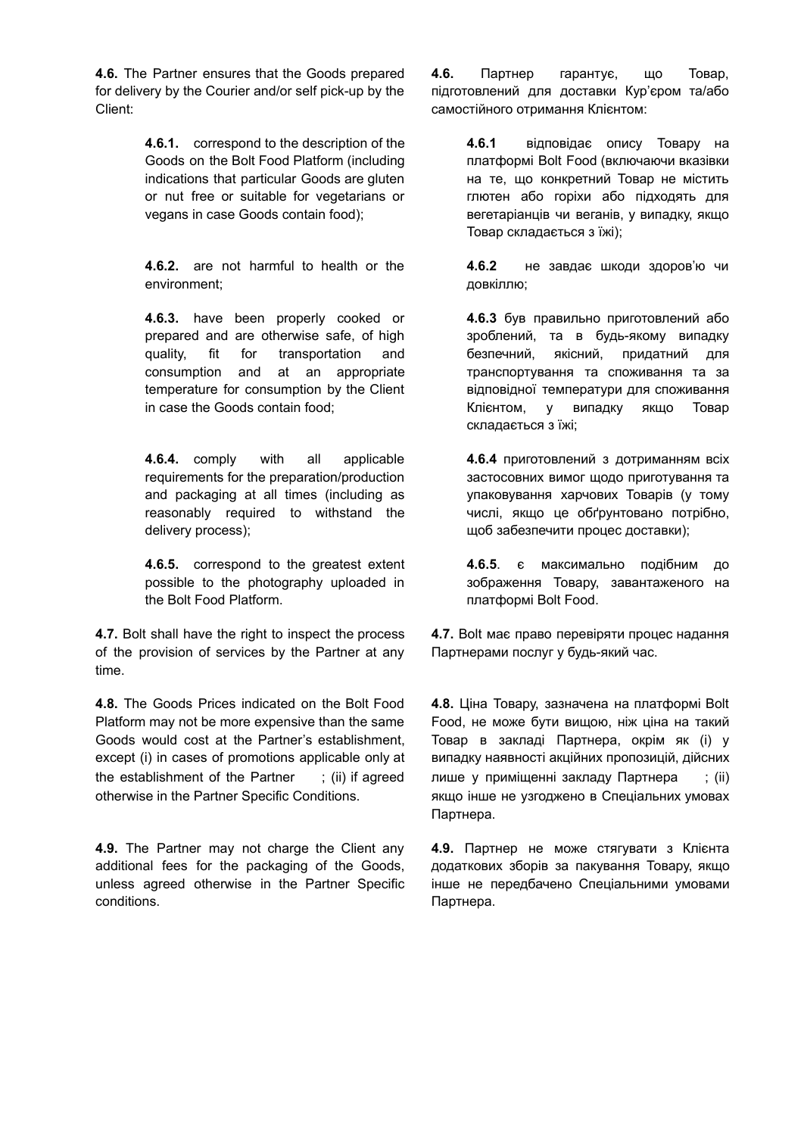**4.6.** The Partner ensures that the Goods prepared for delivery by the Courier and/or self pick-up by the Client:

> **4.6.1.** correspond to the description of the Goods on the Bolt Food Platform (including indications that particular Goods are gluten or nut free or suitable for vegetarians or vegans in case Goods contain food);

> **4.6.2.** are not harmful to health or the environment;

**4.6.3.** have been properly cooked or prepared and are otherwise safe, of high quality, fit for transportation and consumption and at an appropriate temperature for consumption by the Client in case the Goods contain food;

**4.6.4.** comply with all applicable requirements for the preparation/production and packaging at all times (including as reasonably required to withstand the delivery process);

**4.6.5.** correspond to the greatest extent possible to the photography uploaded in the Bolt Food Platform.

**4.7.** Bolt shall have the right to inspect the process of the provision of services by the Partner at any time.

**4.8.** The Goods Prices indicated on the Bolt Food Platform may not be more expensive than the same Goods would cost at the Partner's establishment, except (i) in cases of promotions applicable only at the establishment of the Partner ; (ii) if agreed otherwise in the Partner Specific Conditions.

**4.9.** The Partner may not charge the Client any additional fees for the packaging of the Goods, unless agreed otherwise in the Partner Specific conditions.

**4.6.** Партнер гарантує, що Товар, підготовлений для доставки Кур'єром та/або самостійного отримання Клієнтом:

> **4.6.1** відповідає опису Товару на платформі Bolt Food (включаючи вказівки на те, що конкретний Товар не містить глютен або горіхи або підходять для вегетаріанців чи веганів, у випадку, якщо Товар складається з їжі);

> **4.6.2** не завдає шкоди здоров'ю чи довкіллю;

> **4.6.3** був правильно приготовлений або зроблений, та в будь-якому випадку безпечний, якісний, придатний для транспортування та споживання та за відповідної температури для споживання Клієнтом, у випадку якщо Товар складається з їжі;

> **4.6.4** приготовлений з дотриманням всіх застосовних вимог щодо приготування та упаковування харчових Товарів (у тому числі, якщо це обґрунтовано потрібно, щоб забезпечити процес доставки);

> **4.6.5**. є максимально подібним до зображення Товару, завантаженого на платформі Bolt Food.

**4.7.** Bolt має право перевіряти процес надання Партнерами послуг у будь-який час.

**4.8.** Ціна Товару, зазначена на платформі Bolt Food, не може бути вищою, ніж ціна на такий Товар в закладі Партнера, окрім як (і) у випадку наявності акційних пропозицій, дійсних лише у приміщенні закладу Партнера ; (ii) якщо інше не узгоджено в Спеціальних умовах Партнера.

**4.9.** Партнер не може стягувати з Клієнта додаткових зборів за пакування Товару, якщо інше не передбачено Спеціальними умовами Партнера.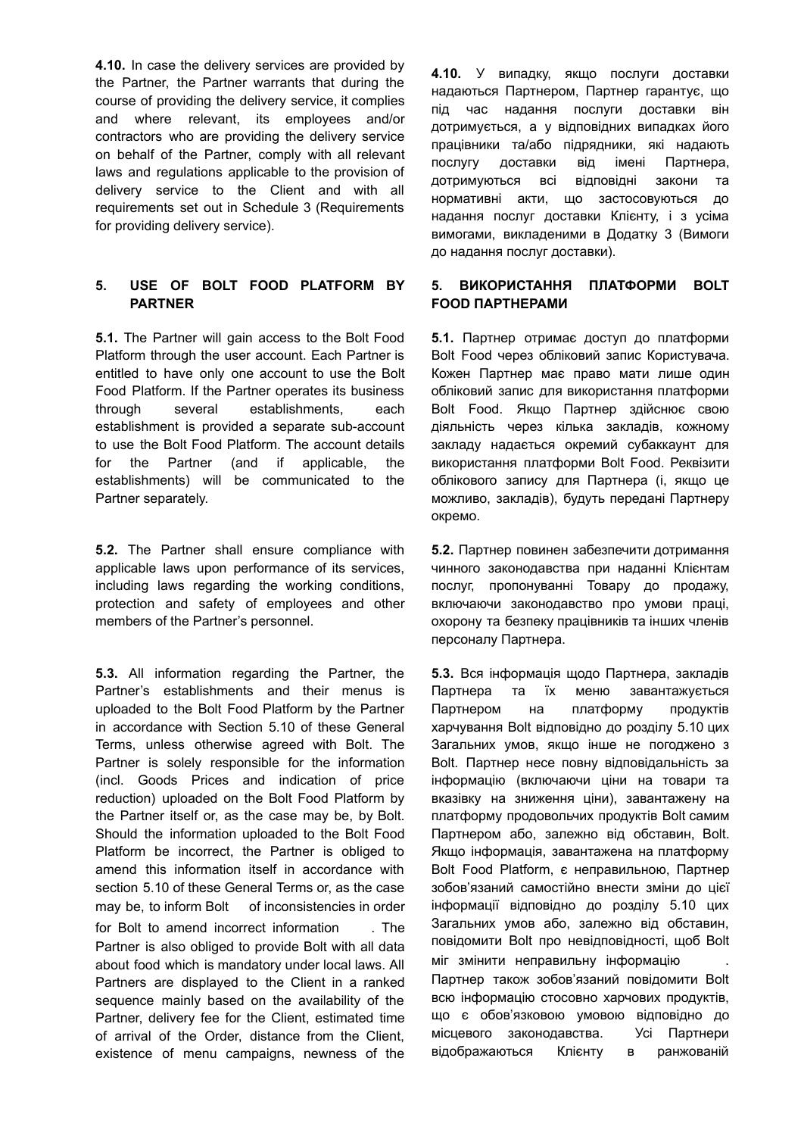**4.10.** In case the delivery services are provided by the Partner, the Partner warrants that during the course of providing the delivery service, it complies and where relevant, its employees and/or contractors who are providing the delivery service on behalf of the Partner, comply with all relevant laws and regulations applicable to the provision of delivery service to the Client and with all requirements set out in Schedule 3 (Requirements for providing delivery service).

# **5. USE OF BOLT FOOD PLATFORM BY PARTNER**

**5.1.** The Partner will gain access to the Bolt Food Platform through the user account. Each Partner is entitled to have only one account to use the Bolt Food Platform. If the Partner operates its business through several establishments, each establishment is provided a separate sub-account to use the Bolt Food Platform. The account details for the Partner (and if applicable, the establishments) will be communicated to the Partner separately.

**5.2.** The Partner shall ensure compliance with applicable laws upon performance of its services, including laws regarding the working conditions, protection and safety of employees and other members of the Partner's personnel.

**5.3.** All information regarding the Partner, the Partner's establishments and their menus is uploaded to the Bolt Food Platform by the Partner in accordance with Section 5.10 of these General Terms, unless otherwise agreed with Bolt. The Partner is solely responsible for the information (incl. Goods Prices and indication of price reduction) uploaded on the Bolt Food Platform by the Partner itself or, as the case may be, by Bolt. Should the information uploaded to the Bolt Food Platform be incorrect, the Partner is obliged to amend this information itself in accordance with section 5.10 of these General Terms or, as the case may be, to inform Bolt of inconsistencies in order for Bolt to amend incorrect information . The Partner is also obliged to provide Bolt with all data about food which is mandatory under local laws. All Partners are displayed to the Client in a ranked sequence mainly based on the availability of the Partner, delivery fee for the Client, estimated time of arrival of the Order, distance from the Client, existence of menu campaigns, newness of the **4.10.** У випадку, якщо послуги доставки надаються Партнером, Партнер гарантує, що під час надання послуги доставки він дотримується, а у відповідних випадках його працівники та/або підрядники, які надають послугу доставки від імені Партнера, дотримуються всі відповідні закони та нормативні акти, що застосовуються до надання послуг доставки Клієнту, і з усіма вимогами, викладеними в Додатку 3 (Вимоги до надання послуг доставки).

# **5. ВИКОРИСТАННЯ ПЛАТФОРМИ BOLT FOOD ПАРТНЕРАМИ**

**5.1.** Партнер отримає доступ до платформи Bolt Food через обліковий запис Користувача. Кожен Партнер має право мати лише один обліковий запис для використання платформи Bolt Food. Якщо Партнер здійснює свою діяльність через кілька закладів, кожному закладу надається окремий субаккаунт для використання платформи Bolt Food. Реквізити облікового запису для Партнера (і, якщо це можливо, закладів), будуть передані Партнеру окремо.

**5.2.** Партнер повинен забезпечити дотримання чинного законодавства при наданні Клієнтам послуг, пропонуванні Товару до продажу, включаючи законодавство про умови праці, охорону та безпеку працівників та інших членів персоналу Партнера.

**5.3.** Вся інформація щодо Партнера, закладів Партнера та їх меню завантажується Партнером на платформу продуктів харчування Bolt відповідно до розділу 5.10 цих Загальних умов, якщо інше не погоджено з Bolt. Партнер несе повну відповідальність за інформацію (включаючи ціни на товари та вказівку на зниження ціни), завантажену на платформу продовольчих продуктів Bolt самим Партнером або, залежно від обставин, Bolt. Якщо інформація, завантажена на платформу Bolt Food Platform, є неправильною, Партнер зобов'язаний самостійно внести зміни до цієї інформації відповідно до розділу 5.10 цих Загальних умов або, залежно від обставин, повідомити Bolt про невідповідності, щоб Bolt міг змінити неправильну інформацію . Партнер також зобов'язаний повідомити Bolt всю інформацію стосовно харчових продуктів, що є обов'язковою умовою відповідно до місцевого законодавства. Усі Партнери відображаються Клієнту в ранжованій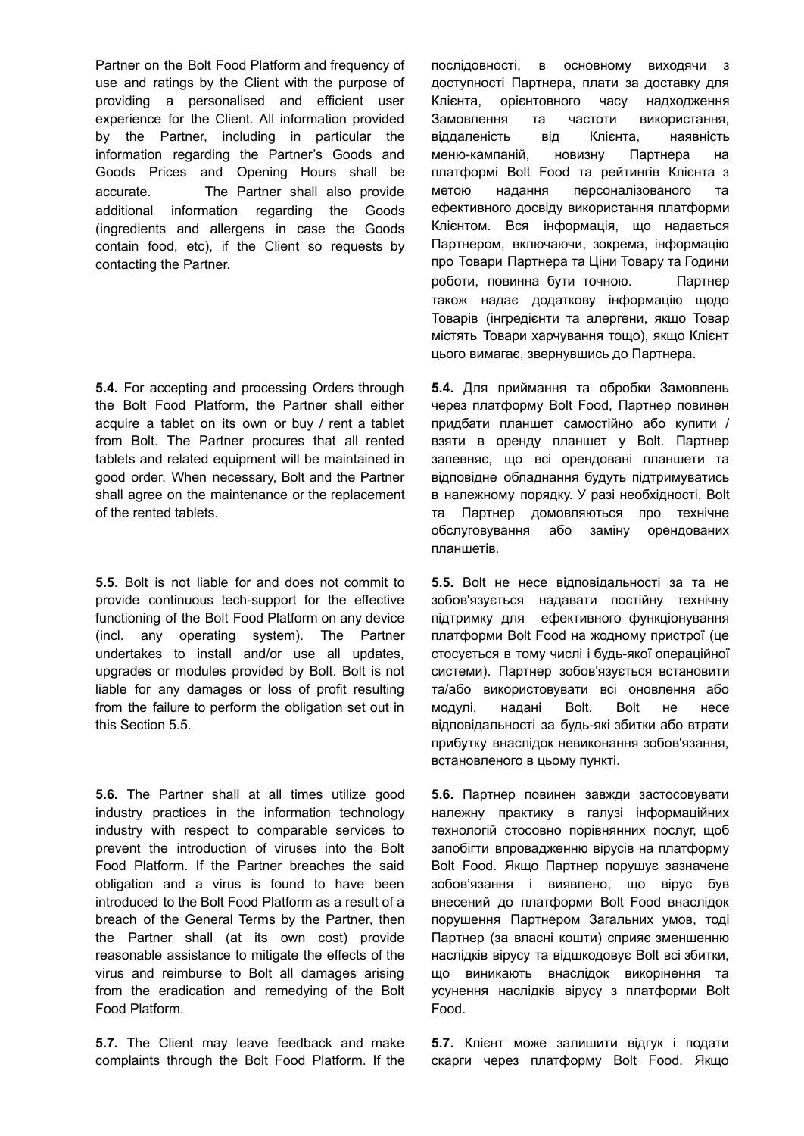Partner on the Bolt Food Platform and frequency of use and ratings by the Client with the purpose of providing a personalised and efficient user experience for the Client. All information provided by the Partner, including in particular the information regarding the Partner's Goods and Goods Prices and Opening Hours shall be accurate. The Partner shall also provide additional information regarding the Goods (ingredients and allergens in case the Goods contain food, etc), if the Client so requests by contacting the Partner.

**5.4.** For accepting and processing Orders through the Bolt Food Platform, the Partner shall either acquire a tablet on its own or buy / rent a tablet from Bolt. The Partner procures that all rented tablets and related equipment will be maintained in good order. When necessary, Bolt and the Partner shall agree on the maintenance or the replacement of the rented tablets.

**5.5**. Bolt is not liable for and does not commit to provide continuous tech-support for the effective functioning of the Bolt Food Platform on any device (incl. any operating system). The Partner undertakes to install and/or use all updates, upgrades or modules provided by Bolt. Bolt is not liable for any damages or loss of profit resulting from the failure to perform the obligation set out in this Section 5.5.

**5.6.** The Partner shall at all times utilize good industry practices in the information technology industry with respect to comparable services to prevent the introduction of viruses into the Bolt Food Platform. If the Partner breaches the said obligation and a virus is found to have been introduced to the Bolt Food Platform as a result of a breach of the General Terms by the Partner, then the Partner shall (at its own cost) provide reasonable assistance to mitigate the effects of the virus and reimburse to Bolt all damages arising from the eradication and remedying of the Bolt Food Platform.

**5.7.** The Client may leave feedback and make complaints through the Bolt Food Platform. If the послідовності, в основному виходячи з доступності Партнера, плати за доставку для Клієнта, орієнтовного часу надходження Замовлення та частоти використання, віддаленість від Клієнта, наявність меню-кампаній, новизну Партнера на платформі Bolt Food та рейтингів Клієнта з метою надання персоналізованого та ефективного досвіду використання платформи Клієнтом. Вся інформація, що надається Партнером, включаючи, зокрема, інформацію про Товари Партнера та Ціни Товару та Години роботи, повинна бути точною. Партнер також надає додаткову інформацію щодо Товарів (інгредієнти та алергени, якщо Товар містять Товари харчування тощо), якщо Клієнт цього вимагає, звернувшись до Партнера.

**5.4.** Для приймання та обробки Замовлень через платформу Bolt Food, Партнер повинен придбати планшет самостійно або купити / взяти в оренду планшет у Bolt. Партнер запевняє, що всі орендовані планшети та відповідне обладнання будуть підтримуватись в належному порядку. У разі необхідності, Bolt та Партнер домовляються про технічне обслуговування або заміну орендованих планшетів.

**5.5.** Bolt не несе відповідальності за та не зобов'язується надавати постійну технічну підтримку для ефективного функціонування платформи Bolt Food на жодному пристрої (це стосується в тому числі і будь-якої операційної системи). Партнер зобов'язується встановити та/або використовувати всі оновлення або модулі, надані Bolt. Bolt не несе відповідальності за будь-які збитки або втрати прибутку внаслідок невиконання зобов'язання, встановленого в цьому пункті.

**5.6.** Партнер повинен завжди застосовувати належну практику в галузі інформаційних технологій стосовно порівнянних послуг, щоб запобігти впровадженню вірусів на платформу Bolt Food. Якщо Партнер порушує зазначене зобов'язання і виявлено, що вірус був внесений до платформи Bolt Food внаслідок порушення Партнером Загальних умов, тоді Партнер (за власні кошти) сприяє зменшенню наслідків вірусу та відшкодовує Bolt всі збитки, що виникають внаслідок викорінення та усунення наслідків вірусу з платформи Bolt Food.

**5.7.** Клієнт може залишити відгук і подати скарги через платформу Bolt Food. Якщо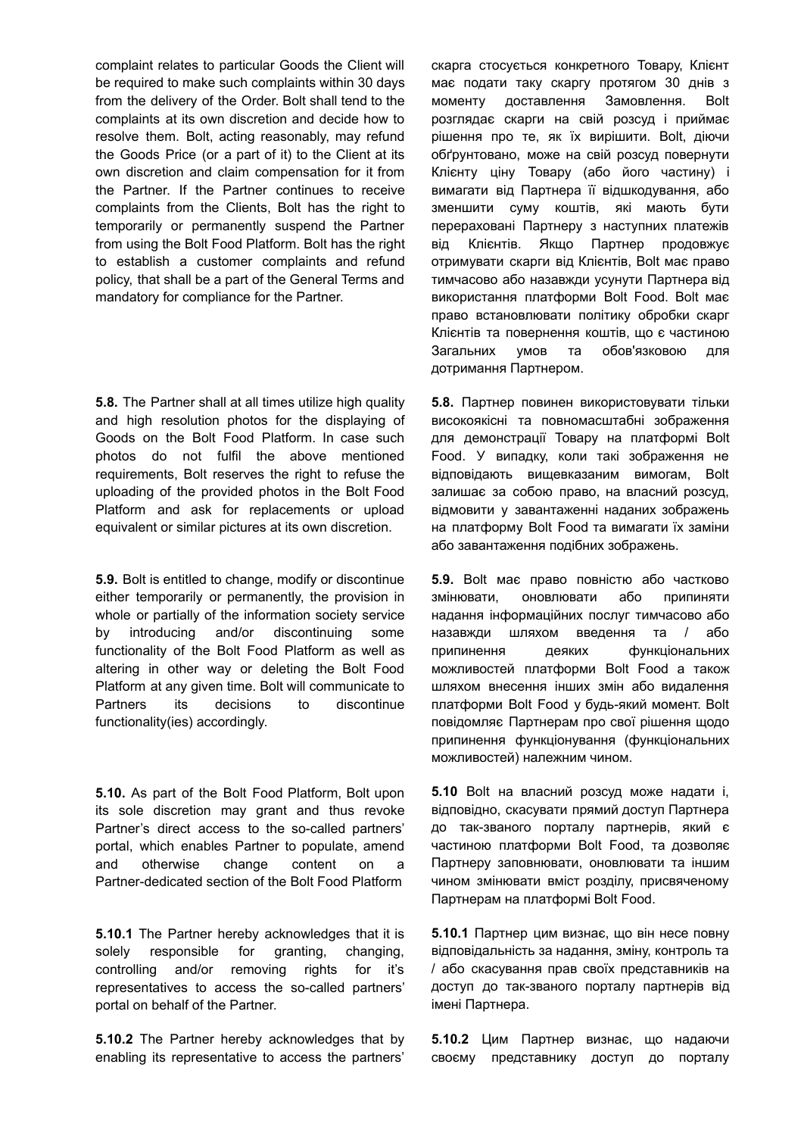complaint relates to particular Goods the Client will be required to make such complaints within 30 days from the delivery of the Order. Bolt shall tend to the complaints at its own discretion and decide how to resolve them. Bolt, acting reasonably, may refund the Goods Price (or a part of it) to the Client at its own discretion and claim compensation for it from the Partner. If the Partner continues to receive complaints from the Clients, Bolt has the right to temporarily or permanently suspend the Partner from using the Bolt Food Platform. Bolt has the right to establish a customer complaints and refund policy, that shall be a part of the General Terms and mandatory for compliance for the Partner.

**5.8.** The Partner shall at all times utilize high quality and high resolution photos for the displaying of Goods on the Bolt Food Platform. In case such photos do not fulfil the above mentioned requirements, Bolt reserves the right to refuse the uploading of the provided photos in the Bolt Food Platform and ask for replacements or upload equivalent or similar pictures at its own discretion.

**5.9.** Bolt is entitled to change, modify or discontinue either temporarily or permanently, the provision in whole or partially of the information society service by introducing and/or discontinuing some functionality of the Bolt Food Platform as well as altering in other way or deleting the Bolt Food Platform at any given time. Bolt will communicate to Partners its decisions to discontinue functionality(ies) accordingly.

**5.10.** As part of the Bolt Food Platform, Bolt upon its sole discretion may grant and thus revoke Partner's direct access to the so-called partners' portal, which enables Partner to populate, amend and otherwise change content on a Partner-dedicated section of the Bolt Food Platform

**5.10.1** The Partner hereby acknowledges that it is solely responsible for granting, changing, controlling and/or removing rights for it's representatives to access the so-called partners' portal on behalf of the Partner.

**5.10.2** The Partner hereby acknowledges that by enabling its representative to access the partners'

скарга стосується конкретного Товару, Клієнт має подати таку скаргу протягом 30 днів з моменту доставлення Замовлення. Bolt розглядає скарги на свій розсуд і приймає рішення про те, як їх вирішити. Bolt, діючи обґрунтовано, може на свій розсуд повернути Клієнту ціну Товару (або його частину) і вимагати від Партнера її відшкодування, або зменшити суму коштів, які мають бути перераховані Партнеру з наступних платежів від Клієнтів. Якщо Партнер продовжує отримувати скарги від Клієнтів, Bolt має право тимчасово або назавжди усунути Партнера від використання платформи Bolt Food. Bolt має право встановлювати політику обробки скарг Клієнтів та повернення коштів, що є частиною Загальних умов та обов'язковою для дотримання Партнером.

**5.8.** Партнер повинен використовувати тільки високоякісні та повномасштабні зображення для демонстрації Товару на платформі Bolt Food. У випадку, коли такі зображення не відповідають вищевказаним вимогам, Bolt залишає за собою право, на власний розсуд, відмовити у завантаженні наданих зображень на платформу Bolt Food та вимагати їх заміни або завантаження подібних зображень.

**5.9.** Bolt має право повністю або частково змінювати, оновлювати або припиняти надання інформаційних послуг тимчасово або назавжди шляхом введення та / або припинення деяких функціональних можливостей платформи Bolt Food а також шляхом внесення інших змін або видалення платформи Bolt Food у будь-який момент. Bolt повідомляє Партнерам про свої рішення щодо припинення функціонування (функціональних можливостей) належним чином.

**5.10** Bolt на власний розсуд може надати і, відповідно, скасувати прямий доступ Партнера до так-званого порталу партнерів, який є частиною платформи Bolt Food, та дозволяє Партнеру заповнювати, оновлювати та іншим чином змінювати вміст розділу, присвяченому Партнерам на платформі Bolt Food.

**5.10.1** Партнер цим визнає, що він несе повну відповідальність за надання, зміну, контроль та / або скасування прав своїх представників на доступ до так-званого порталу партнерів від імені Партнера.

**5.10.2** Цим Партнер визнає, що надаючи своєму представнику доступ до порталу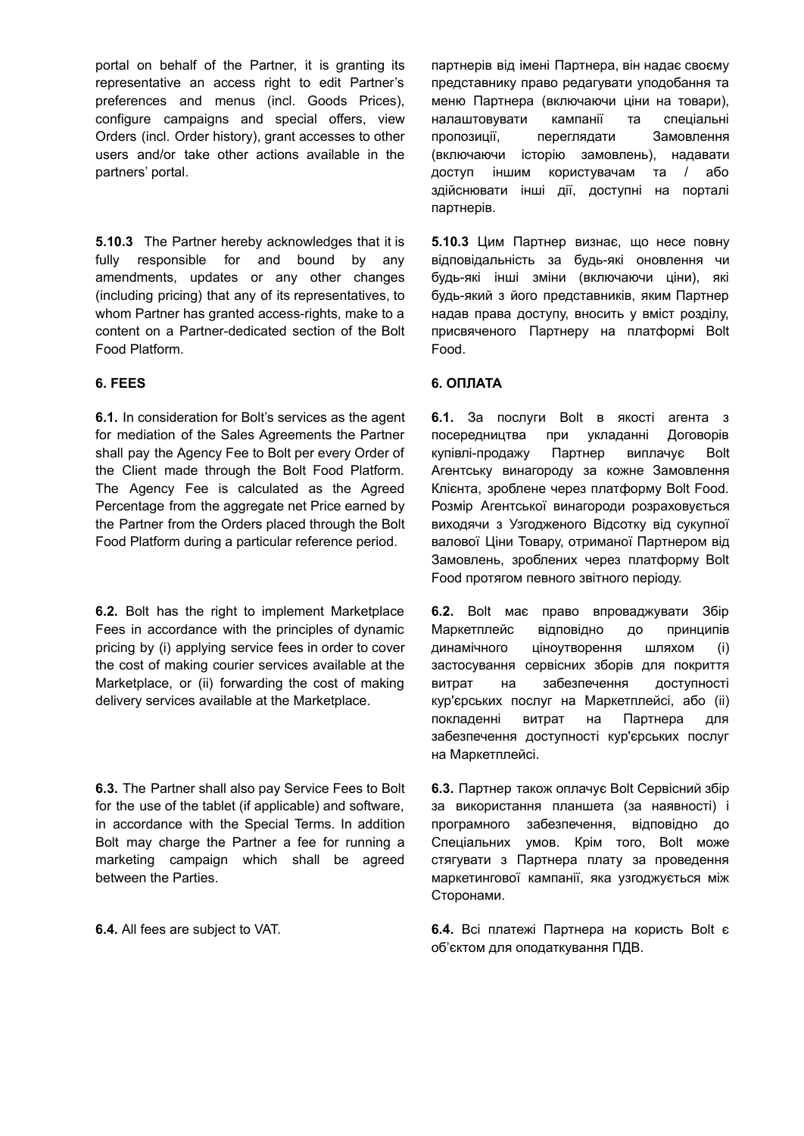portal on behalf of the Partner, it is granting its representative an access right to edit Partner's preferences and menus (incl. Goods Prices), configure campaigns and special offers, view Orders (incl. Order history), grant accesses to other users and/or take other actions available in the partners' portal.

**5.10.3** The Partner hereby acknowledges that it is fully responsible for and bound by any amendments, updates or any other changes (including pricing) that any of its representatives, to whom Partner has granted access-rights, make to a content on a Partner-dedicated section of the Bolt Food Platform.

**6.1.** In consideration for Bolt's services as the agent for mediation of the Sales Agreements the Partner shall pay the Agency Fee to Bolt per every Order of the Client made through the Bolt Food Platform. The Agency Fee is calculated as the Agreed Percentage from the aggregate net Price earned by the Partner from the Orders placed through the Bolt Food Platform during a particular reference period.

**6.2.** Bolt has the right to implement Marketplace Fees in accordance with the principles of dynamic pricing by (i) applying service fees in order to cover the cost of making courier services available at the Marketplace, or (ii) forwarding the cost of making delivery services available at the Marketplace.

**6.3.** The Partner shall also pay Service Fees to Bolt for the use of the tablet (if applicable) and software, in accordance with the Special Terms. In addition Bolt may charge the Partner a fee for running a marketing campaign which shall be agreed between the Parties.

партнерів від імені Партнера, він надає своєму представнику право редагувати уподобання та меню Партнера (включаючи ціни на товари), налаштовувати кампанії та спеціальні пропозиції, переглядати Замовлення (включаючи історію замовлень), надавати доступ іншим користувачам та / або здійснювати інші дії, доступні на порталі партнерів.

**5.10.3** Цим Партнер визнає, що несе повну відповідальність за будь-які оновлення чи будь-які інші зміни (включаючи ціни), які будь-який з його представників, яким Партнер надав права доступу, вносить у вміст розділу, присвяченого Партнеру на платформі Bolt Food.

### **6. FEES 6. ОПЛАТА**

**6.1.** За послуги Bolt в якості агента з посередництва при укладанні Договорів купівлі-продажу Партнер виплачує Bolt Агентську винагороду за кожне Замовлення Клієнта, зроблене через платформу Bolt Food. Розмір Агентської винагороди розраховується виходячи з Узгодженого Відсотку від сукупної валової Ціни Товару, отриманої Партнером від Замовлень, зроблених через платформу Bolt Food протягом певного звітного періоду.

**6.2.** Bolt має право впроваджувати Збір Маркетплейс відповідно до принципів динамічного ціноутворення шляхом (і) застосування сервісних зборів для покриття витрат на забезпечення доступності кур'єрських послуг на Маркетплейсі, або (іі) покладенні витрат на Партнера для забезпечення доступності кур'єрських послуг на Маркетплейсі.

**6.3.** Партнер також оплачує Bolt Сервісний збір за використання планшета (за наявності) і програмного забезпечення, відповідно до Спеціальних умов. Крім того, Bolt може стягувати з Партнера плату за проведення маркетингової кампанії, яка узгоджується між Сторонами.

**6.4.** All fees are subject to VAT. **6.4.** Всі платежі Партнера на користь Bolt є об'єктом для оподаткування ПДВ.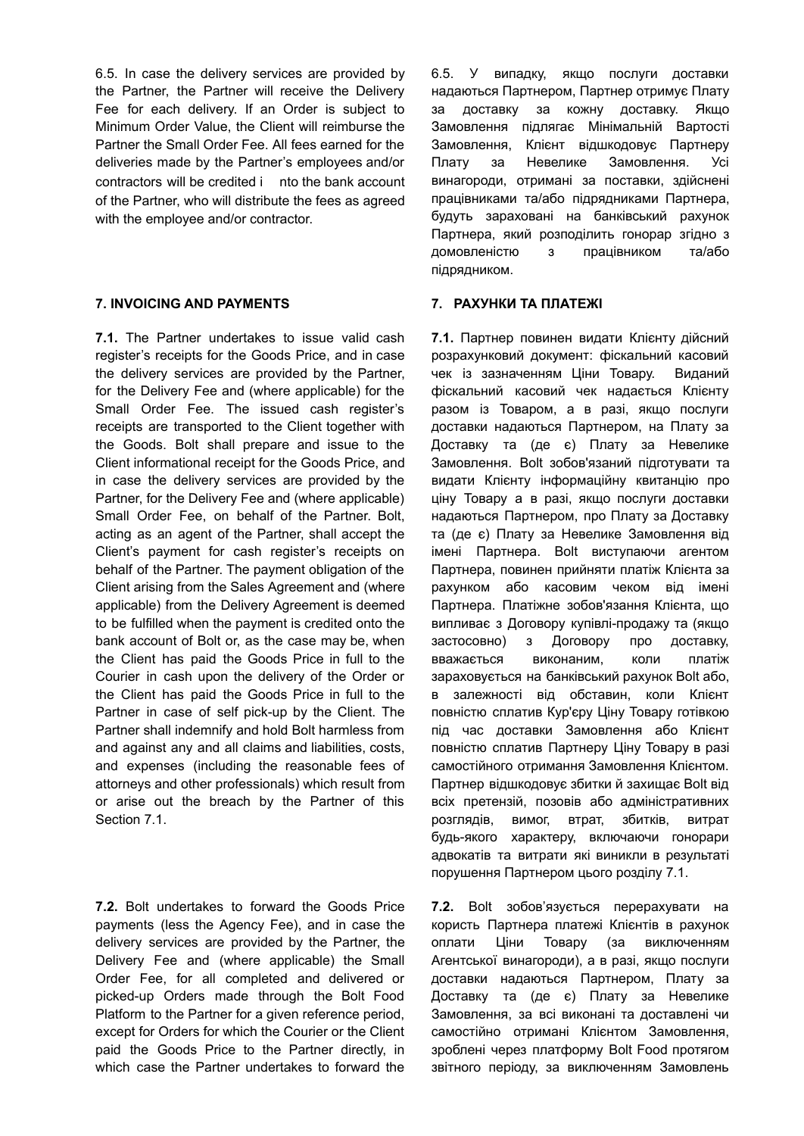6.5. In case the delivery services are provided by the Partner, the Partner will receive the Delivery Fee for each delivery. If an Order is subject to Minimum Order Value, the Client will reimburse the Partner the Small Order Fee. All fees earned for the deliveries made by the Partner's employees and/or contractors will be credited i nto the bank account of the Partner, who will distribute the fees as agreed with the employee and/or contractor.

# **7. INVOICING AND PAYMENTS 7. РАХУНКИ ТА ПЛАТЕЖІ**

**7.1.** The Partner undertakes to issue valid cash register's receipts for the Goods Price, and in case the delivery services are provided by the Partner, for the Delivery Fee and (where applicable) for the Small Order Fee. The issued cash register's receipts are transported to the Client together with the Goods. Bolt shall prepare and issue to the Client informational receipt for the Goods Price, and in case the delivery services are provided by the Partner, for the Delivery Fee and (where applicable) Small Order Fee, on behalf of the Partner. Bolt, acting as an agent of the Partner, shall accept the Client's payment for cash register's receipts on behalf of the Partner. The payment obligation of the Client arising from the Sales Agreement and (where applicable) from the Delivery Agreement is deemed to be fulfilled when the payment is credited onto the bank account of Bolt or, as the case may be, when the Client has paid the Goods Price in full to the Courier in cash upon the delivery of the Order or the Client has paid the Goods Price in full to the Partner in case of self pick-up by the Client. The Partner shall indemnify and hold Bolt harmless from and against any and all claims and liabilities, costs, and expenses (including the reasonable fees of attorneys and other professionals) which result from or arise out the breach by the Partner of this Section 7.1.

**7.2.** Bolt undertakes to forward the Goods Price payments (less the Agency Fee), and in case the delivery services are provided by the Partner, the Delivery Fee and (where applicable) the Small Order Fee, for all completed and delivered or picked-up Orders made through the Bolt Food Platform to the Partner for a given reference period, except for Orders for which the Courier or the Client paid the Goods Price to the Partner directly, in which case the Partner undertakes to forward the

6.5. У випадку, якщо послуги доставки надаються Партнером, Партнер отримує Плату за доставку за кожну доставку. Якщо Замовлення підлягає Мінімальній Вартості Замовлення, Клієнт відшкодовує Партнеру Плату за Невелике Замовлення. Усі винагороди, отримані за поставки, здійснені працівниками та/або підрядниками Партнера, будуть зараховані на банківський рахунок Партнера, який розподілить гонорар згідно з домовленістю з працівником та/або підрядником.

**7.1.** Партнер повинен видати Клієнту дійсний розрахунковий документ: фіскальний касовий чек із зазначенням Ціни Товару. Виданий фіскальний касовий чек надається Клієнту разом із Товаром, а в разі, якщо послуги доставки надаються Партнером, на Плату за Доставку та (де є) Плату за Невелике Замовлення. Bolt зобов'язаний підготувати та видати Клієнту інформаційну квитанцію про ціну Товару а в разі, якщо послуги доставки надаються Партнером, про Плату за Доставку та (де є) Плату за Невелике Замовлення від імені Партнера. Bolt виступаючи агентом Партнера, повинен прийняти платіж Клієнта за рахунком або касовим чеком від імені Партнера. Платіжне зобов'язання Клієнта, що випливає з Договору купівлі-продажу та (якщо застосовно) з Договору про доставку, вважається виконаним, коли платіж зараховується на банківський рахунок Bolt або, в залежності від обставин, коли Клієнт повністю сплатив Кур'єру Ціну Товару готівкою під час доставки Замовлення або Клієнт повністю сплатив Партнеру Ціну Товару в разі самостійного отримання Замовлення Клієнтом. Партнер відшкодовує збитки й захищає Bolt від всіх претензій, позовів або адміністративних розглядів, вимог, втрат, збитків, витрат будь-якого характеру, включаючи гонорари адвокатів та витрати які виникли в результаті порушення Партнером цього розділу 7.1.

**7.2.** Bolt зобов'язується перерахувати на користь Партнера платежі Клієнтів в рахунок оплати Ціни Товару (за виключенням Агентської винагороди), а в разі, якщо послуги доставки надаються Партнером, Плату за Доставку та (де є) Плату за Невелике Замовлення, за всі виконані та доставлені чи самостійно отримані Клієнтом Замовлення, зроблені через платформу Bolt Food протягом звітного періоду, за виключенням Замовлень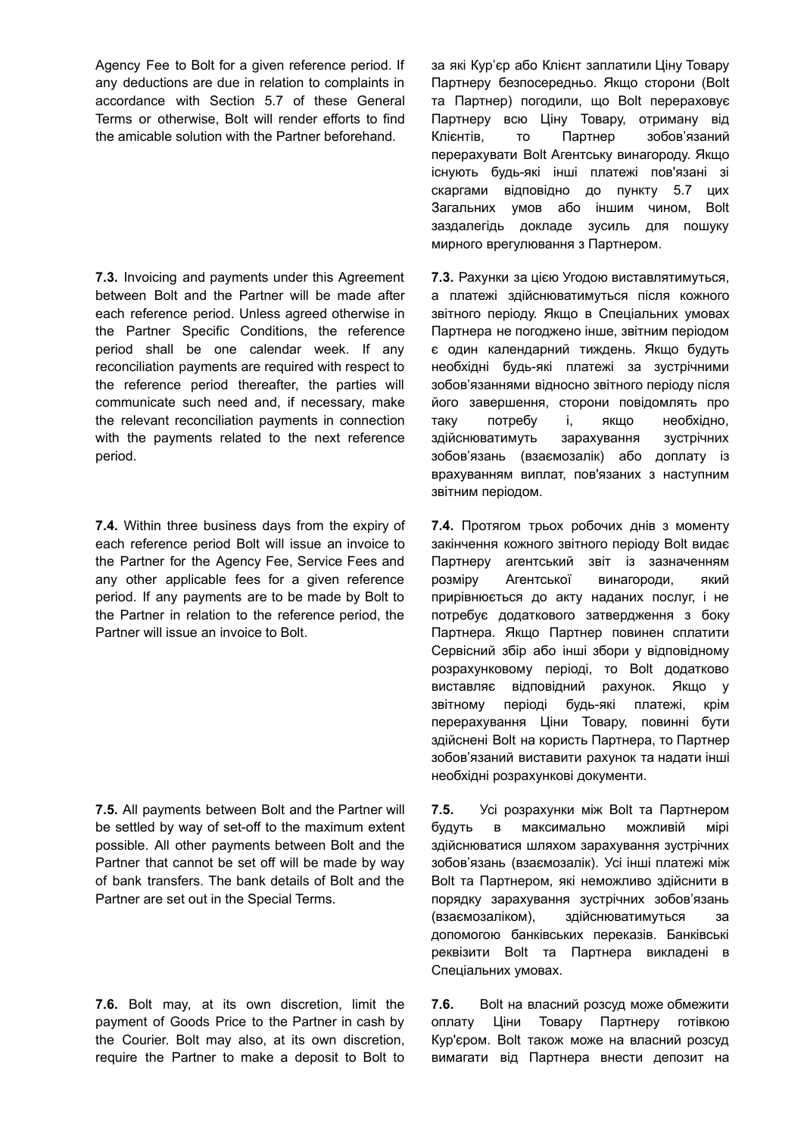Agency Fee to Bolt for a given reference period. If any deductions are due in relation to complaints in accordance with Section 5.7 of these General Terms or otherwise, Bolt will render efforts to find the amicable solution with the Partner beforehand.

**7.3.** Invoicing and payments under this Agreement between Bolt and the Partner will be made after each reference period. Unless agreed otherwise in the Partner Specific Conditions, the reference period shall be one calendar week. If any reconciliation payments are required with respect to the reference period thereafter, the parties will communicate such need and, if necessary, make the relevant reconciliation payments in connection with the payments related to the next reference period.

**7.4.** Within three business days from the expiry of each reference period Bolt will issue an invoice to the Partner for the Agency Fee, Service Fees and any other applicable fees for a given reference period. If any payments are to be made by Bolt to the Partner in relation to the reference period, the Partner will issue an invoice to Bolt.

**7.5.** All payments between Bolt and the Partner will be settled by way of set-off to the maximum extent possible. All other payments between Bolt and the Partner that cannot be set off will be made by way of bank transfers. The bank details of Bolt and the Partner are set out in the Special Terms.

**7.6.** Bolt may, at its own discretion, limit the payment of Goods Price to the Partner in cash by the Courier. Bolt may also, at its own discretion, require the Partner to make a deposit to Bolt to за які Кур'єр або Клієнт заплатили Ціну Товару Партнеру безпосередньо. Якщо сторони (Bolt та Партнер) погодили, що Bolt перераховує Партнеру всю Ціну Товару, отриману від Клієнтів, то Партнер зобов'язаний перерахувати Bolt Агентську винагороду. Якщо існують будь-які інші платежі пов'язані зі скаргами відповідно до пункту 5.7 цих Загальних умов або іншим чином, Bolt заздалегідь докладе зусиль для пошуку мирного врегулювання з Партнером.

**7.3.** Рахунки за цією Угодою виставлятимуться, а платежі здійснюватимуться після кожного звітного періоду. Якщо в Спеціальних умовах Партнера не погоджено інше, звітним періодом є один календарний тиждень. Якщо будуть необхідні будь-які платежі за зустрічними зобов'язаннями відносно звітного періоду після його завершення, сторони повідомлять про таку потребу і, якщо необхідно, здійснюватимуть зарахування зустрічних зобов'язань (взаємозалік) або доплату із врахуванням виплат, пов'язаних з наступним звітним періодом.

**7.4.** Протягом трьох робочих днів з моменту закінчення кожного звітного періоду Bolt видає Партнеру агентський звіт із зазначенням розміру Агентської винагороди, який прирівнюється до акту наданих послуг, і не потребує додаткового затвердження з боку Партнера. Якщо Партнер повинен сплатити Сервісний збір або інші збори у відповідному розрахунковому періоді, то Bolt додатково виставляє відповідний рахунок. Якщо у звітному періоді будь-які платежі, крім перерахування Ціни Товару, повинні бути здійснені Bolt на користь Партнера, то Партнер зобов'язаний виставити рахунок та надати інші необхідні розрахункові документи.

**7.5.** Усі розрахунки між Bolt та Партнером будуть в максимально можливій мірі здійснюватися шляхом зарахування зустрічних зобов'язань (взаємозалік). Усі інші платежі між Bolt та Партнером, які неможливо здійснити в порядку зарахування зустрічних зобов'язань (взаємозаліком), здійснюватимуться за допомогою банківських переказів. Банківські реквізити Bolt та Партнера викладені в Спеціальних умовах.

**7.6.** Bolt на власний розсуд може обмежити оплату Ціни Товару Партнеру готівкою Кур'єром. Bolt також може на власний розсуд вимагати від Партнера внести депозит на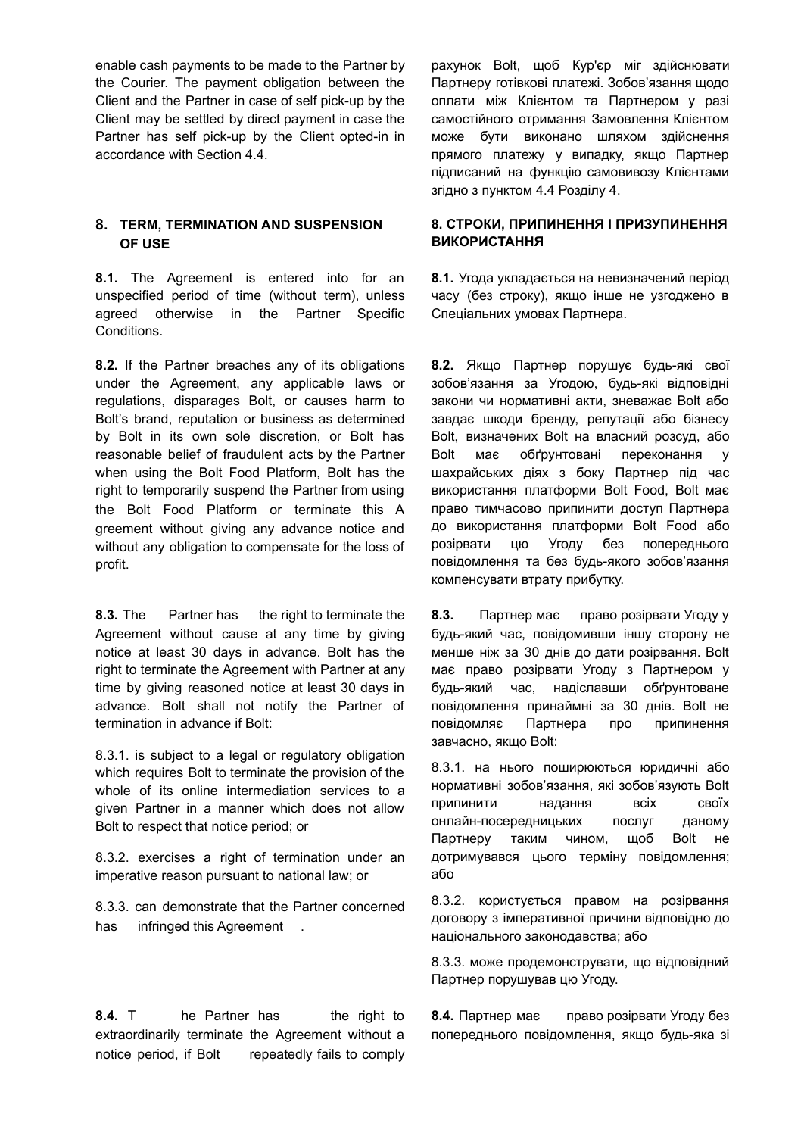enable cash payments to be made to the Partner by the Courier. The payment obligation between the Client and the Partner in case of self pick-up by the Client may be settled by direct payment in case the Partner has self pick-up by the Client opted-in in accordance with Section 4.4.

# **8. TERM, TERMINATION AND SUSPENSION OF USE**

**8.1.** The Agreement is entered into for an unspecified period of time (without term), unless agreed otherwise in the Partner Specific **Conditions** 

**8.2.** If the Partner breaches any of its obligations under the Agreement, any applicable laws or regulations, disparages Bolt, or causes harm to Bolt's brand, reputation or business as determined by Bolt in its own sole discretion, or Bolt has reasonable belief of fraudulent acts by the Partner when using the Bolt Food Platform, Bolt has the right to temporarily suspend the Partner from using the Bolt Food Platform or terminate this A greement without giving any advance notice and without any obligation to compensate for the loss of profit.

**8.3.** The Partner has the right to terminate the Agreement without cause at any time by giving notice at least 30 days in advance. Bolt has the right to terminate the Agreement with Partner at any time by giving reasoned notice at least 30 days in advance. Bolt shall not notify the Partner of termination in advance if Bolt:

8.3.1. is subject to a legal or regulatory obligation which requires Bolt to terminate the provision of the whole of its online intermediation services to a given Partner in a manner which does not allow Bolt to respect that notice period; or

8.3.2. exercises a right of termination under an imperative reason pursuant to national law; or

8.3.3. can demonstrate that the Partner concerned has infringed this Agreement.

**8.4.** T he Partner has the right to extraordinarily terminate the Agreement without a notice period, if Bolt repeatedly fails to comply рахунок Bolt, щоб Кур'єр міг здійснювати Партнеру готівкові платежі. Зобов'язання щодо оплати між Клієнтом та Партнером у разі самостійного отримання Замовлення Клієнтом може бути виконано шляхом здійснення прямого платежу у випадку, якщо Партнер підписаний на функцію самовивозу Клієнтами згідно з пунктом 4.4 Розділу 4.

# **8. СТРОКИ, ПРИПИНЕННЯ І ПРИЗУПИНЕННЯ ВИКОРИСТАННЯ**

**8.1.** Угода укладається на невизначений період часу (без строку), якщо інше не узгоджено в Спеціальних умовах Партнера.

**8.2.** Якщо Партнер порушує будь-які свої зобов'язання за Угодою, будь-які відповідні закони чи нормативні акти, зневажає Bolt або завдає шкоди бренду, репутації або бізнесу Bolt, визначених Bolt на власний розсуд, або Bolt має обґрунтовані переконання у шахрайських діях з боку Партнер під час використання платформи Bolt Food, Bolt має право тимчасово припинити доступ Партнера до використання платформи Bolt Food або розірвати цю Угоду без попереднього повідомлення та без будь-якого зобов'язання компенсувати втрату прибутку.

**8.3.** Партнер має право розірвати Угоду у будь-який час, повідомивши іншу сторону не менше ніж за 30 днів до дати розірвання. Bolt має право розірвати Угоду з Партнером у будь-який час, надіславши обґрунтоване повідомлення принаймні за 30 днів. Bolt не повідомляє Партнера про припинення завчасно, якщо Bolt:

8.3.1. на нього поширюються юридичні або нормативні зобов'язання, які зобов'язують Bolt припинити надання всіх своїх онлайн-посередницьких послуг даному Партнеру таким чином, щоб Bolt не дотримувався цього терміну повідомлення; або

8.3.2. користується правом на розірвання договору з імперативної причини відповідно до національного законодавства; або

8.3.3. може продемонструвати, що відповідний Партнер порушував цю Угоду.

**8.4.** Партнер має право розірвати Угоду без попереднього повідомлення, якщо будь-яка зі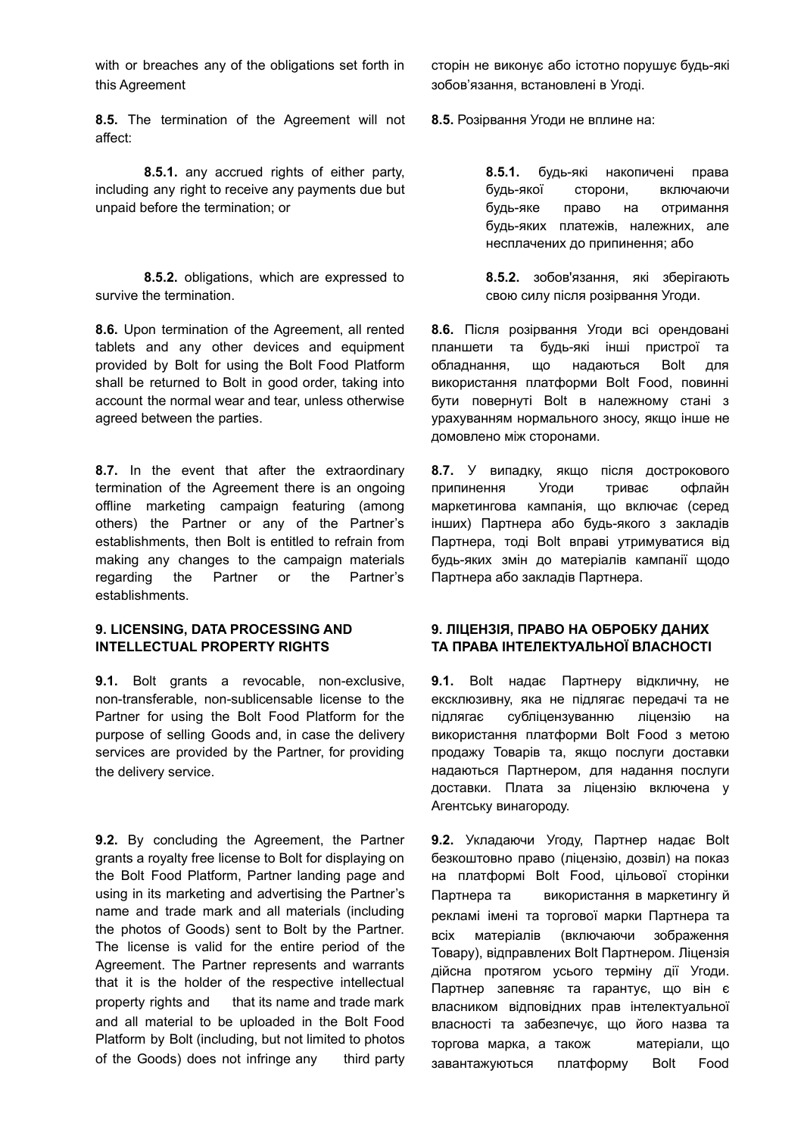with or breaches any of the obligations set forth in this Agreement

**8.5.** The termination of the Agreement will not affect:

**8.5.1.** any accrued rights of either party, including any right to receive any payments due but unpaid before the termination; or

**8.5.2.** obligations, which are expressed to survive the termination.

**8.6.** Upon termination of the Agreement, all rented tablets and any other devices and equipment provided by Bolt for using the Bolt Food Platform shall be returned to Bolt in good order, taking into account the normal wear and tear, unless otherwise agreed between the parties.

**8.7.** In the event that after the extraordinary termination of the Agreement there is an ongoing offline marketing campaign featuring (among others) the Partner or any of the Partner's establishments, then Bolt is entitled to refrain from making any changes to the campaign materials regarding the Partner or the Partner's establishments.

### **9. LICENSING, DATA PROCESSING AND INTELLECTUAL PROPERTY RIGHTS**

**9.1.** Bolt grants a revocable, non-exclusive, non-transferable, non-sublicensable license to the Partner for using the Bolt Food Platform for the purpose of selling Goods and, in case the delivery services are provided by the Partner, for providing the delivery service.

**9.2.** By concluding the Agreement, the Partner grants a royalty free license to Bolt for displaying on the Bolt Food Platform, Partner landing page and using in its marketing and advertising the Partner's name and trade mark and all materials (including the photos of Goods) sent to Bolt by the Partner. The license is valid for the entire period of the Agreement. The Partner represents and warrants that it is the holder of the respective intellectual property rights and that its name and trade mark and all material to be uploaded in the Bolt Food Platform by Bolt (including, but not limited to photos of the Goods) does not infringe any third party сторін не виконує або істотно порушує будь-які зобов'язання, встановлені в Угоді.

**8.5.** Розірвання Угоди не вплине на:

**8.5.1.** будь-які накопичені права будь-якої сторони, включаючи будь-яке право на отримання будь-яких платежів, належних, але несплачених до припинення; або

**8.5.2.** зобов'язання, які зберігають свою силу після розірвання Угоди.

**8.6.** Після розірвання Угоди всі орендовані планшети та будь-які інші пристрої та обладнання, що надаються Bolt для використання платформи Bolt Food, повинні бути повернуті Bolt в належному стані з урахуванням нормального зносу, якщо інше не домовлено між сторонами.

**8.7.** У випадку, якщо після дострокового припинення Угоди триває офлайн маркетингова кампанія, що включає (серед інших) Партнера або будь-якого з закладів Партнера, тоді Bolt вправі утримуватися від будь-яких змін до матеріалів кампанії щодо Партнера або закладів Партнера.

### **9. ЛІЦЕНЗІЯ, ПРАВО НА ОБРОБКУ ДАНИХ ТА ПРАВА ІНТЕЛЕКТУАЛЬНОЇ ВЛАСНОСТІ**

**9.1.** Bolt надає Партнеру відкличну, не ексклюзивну, яка не підлягає передачі та не підлягає субліцензуванню ліцензію на використання платформи Bolt Food з метою продажу Товарів та, якщо послуги доставки надаються Партнером, для надання послуги доставки. Плата за ліцензію включена у Агентську винагороду.

**9.2.** Укладаючи Угоду, Партнер надає Bolt безкоштовно право (ліцензію, дозвіл) на показ на платформі Bolt Food, цільової сторінки Партнера та використання в маркетингу й рекламі імені та торгової марки Партнера та всіх матеріалів (включаючи зображення Товару), відправлених Bolt Партнером. Ліцензія дійсна протягом усього терміну дії Угоди. Партнер запевняє та гарантує, що він є власником відповідних прав інтелектуальної власності та забезпечує, що його назва та торгова марка, а також матеріали, що завантажуються платформу Bolt Food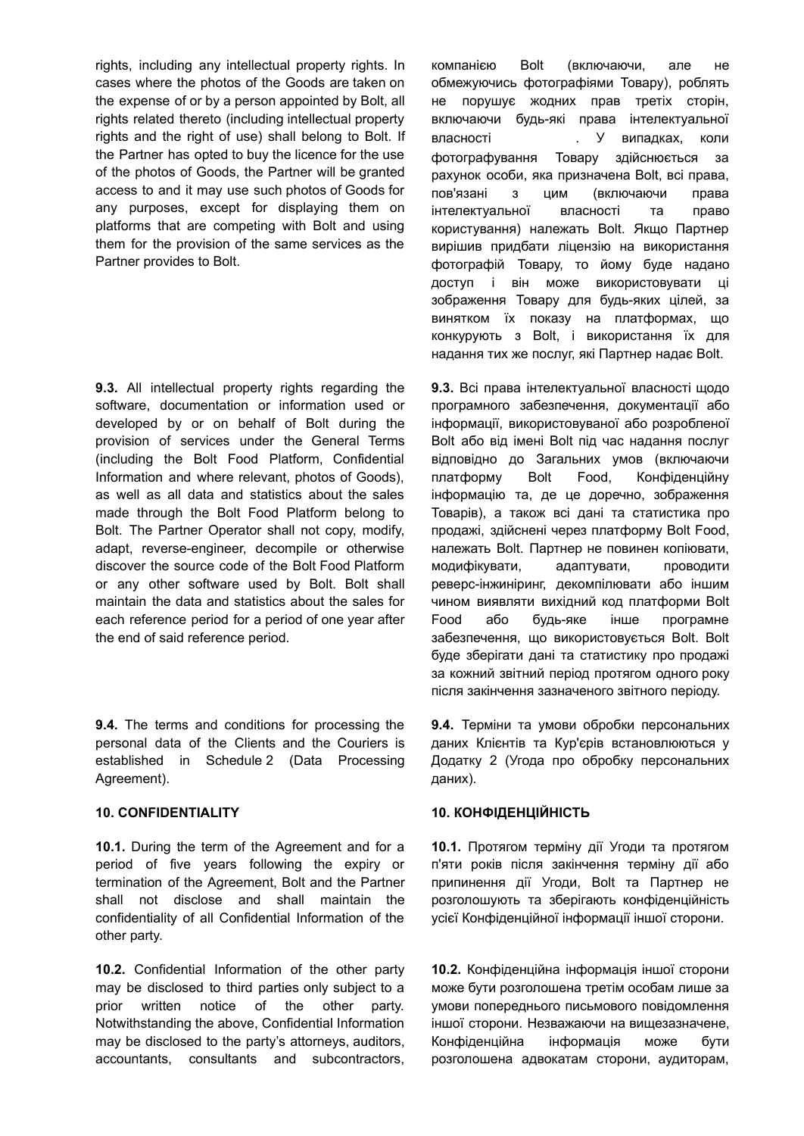rights, including any intellectual property rights. In cases where the photos of the Goods are taken on the expense of or by a person appointed by Bolt, all rights related thereto (including intellectual property rights and the right of use) shall belong to Bolt. If the Partner has opted to buy the licence for the use of the photos of Goods, the Partner will be granted access to and it may use such photos of Goods for any purposes, except for displaying them on platforms that are competing with Bolt and using them for the provision of the same services as the Partner provides to Bolt.

**9.3.** All intellectual property rights regarding the software, documentation or information used or developed by or on behalf of Bolt during the provision of services under the General Terms (including the Bolt Food Platform, Confidential Information and where relevant, photos of Goods), as well as all data and statistics about the sales made through the Bolt Food Platform belong to Bolt. The Partner Operator shall not copy, modify, adapt, reverse-engineer, decompile or otherwise discover the source code of the Bolt Food Platform or any other software used by Bolt. Bolt shall maintain the data and statistics about the sales for each reference period for a period of one year after the end of said reference period.

**9.4.** The terms and conditions for processing the personal data of the Clients and the Couriers is established in Schedule 2 (Data Processing Agreement).

**10.1.** During the term of the Agreement and for a period of five years following the expiry or termination of the Agreement, Bolt and the Partner shall not disclose and shall maintain the confidentiality of all Confidential Information of the other party.

**10.2.** Confidential Information of the other party may be disclosed to third parties only subject to a prior written notice of the other party. Notwithstanding the above, Confidential Information may be disclosed to the party's attorneys, auditors, accountants, consultants and subcontractors, компанією Bolt (включаючи, але не обмежуючись фотографіями Товару), роблять не порушує жодних прав третіх сторін, включаючи будь-які права інтелектуальної власності . У випадках, коли фотографування Товару здійснюється за рахунок особи, яка призначена Bolt, всі права, пов'язані з цим (включаючи права інтелектуальної власності та право користування) належать Bolt. Якщо Партнер вирішив придбати ліцензію на використання фотографій Товару, то йому буде надано доступ і він може використовувати ці зображення Товару для будь-яких цілей, за винятком їх показу на платформах, що конкурують з Bolt, і використання їх для надання тих же послуг, які Партнер надає Bolt.

**9.3.** Всі права інтелектуальної власності щодо програмного забезпечення, документації або інформації, використовуваної або розробленої Bolt або від імені Bolt під час надання послуг відповідно до Загальних умов (включаючи платформу Bolt Food, Конфіденційну інформацію та, де це доречно, зображення Товарів), а також всі дані та статистика про продажі, здійснені через платформу Bolt Food, належать Bolt. Партнер не повинен копіювати, модифікувати, адаптувати, проводити реверс-інжиніринг, декомпілювати або іншим чином виявляти вихідний код платформи Bolt Food або будь-яке інше програмне забезпечення, що використовується Bolt. Bolt буде зберігати дані та статистику про продажі за кожний звітний період протягом одного року після закінчення зазначеного звітного періоду.

**9.4.** Терміни та умови обробки персональних даних Клієнтів та Кур'єрів встановлюються у Додатку 2 (Угода про обробку персональних даних).

### **10. CONFIDENTIALITY 10. КОНФІДЕНЦІЙНІСТЬ**

**10.1.** Протягом терміну дії Угоди та протягом п'яти років після закінчення терміну дії або припинення дії Угоди, Bolt та Партнер не розголошують та зберігають конфіденційність усієї Конфіденційної інформації іншої сторони.

**10.2.** Конфіденційна інформація іншої сторони може бути розголошена третім особам лише за умови попереднього письмового повідомлення іншої сторони. Незважаючи на вищезазначене, Конфіденційна інформація може бути розголошена адвокатам сторони, аудиторам,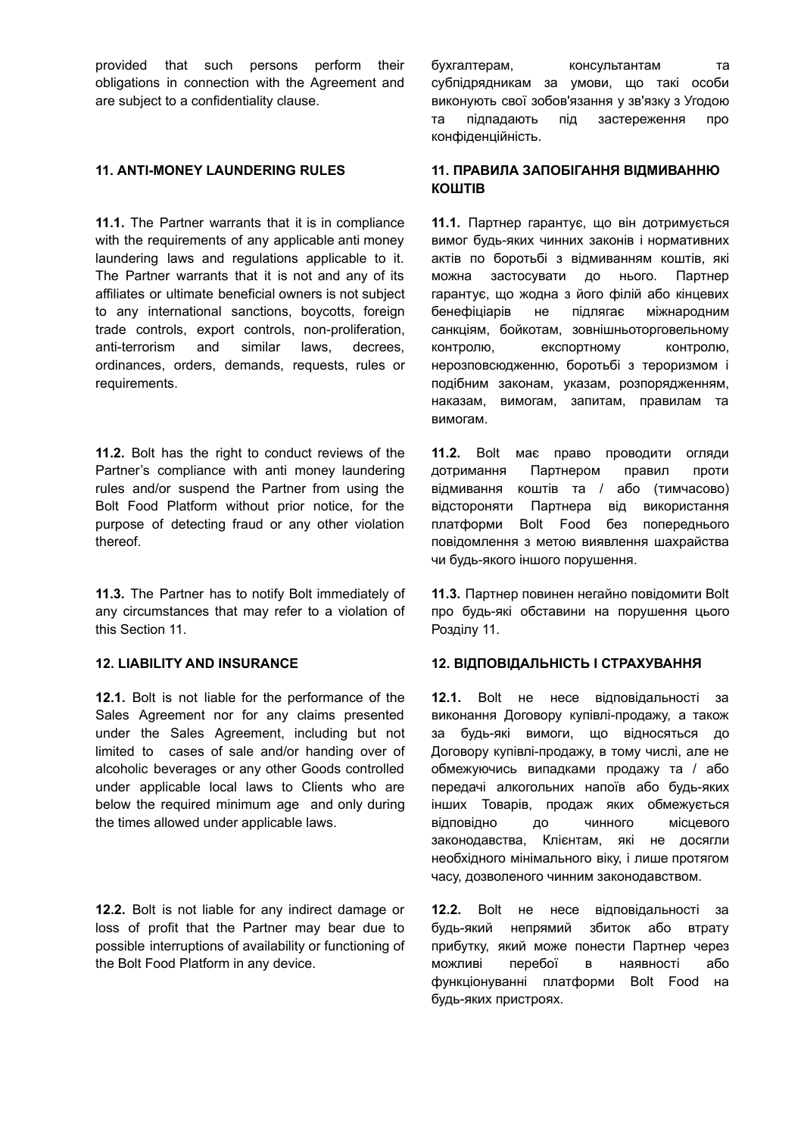provided that such persons perform their obligations in connection with the Agreement and are subject to a confidentiality clause.

**11.1.** The Partner warrants that it is in compliance with the requirements of any applicable anti money laundering laws and regulations applicable to it. The Partner warrants that it is not and any of its affiliates or ultimate beneficial owners is not subject to any international sanctions, boycotts, foreign trade controls, export controls, non-proliferation, anti-terrorism and similar laws, decrees, ordinances, orders, demands, requests, rules or requirements.

**11.2.** Bolt has the right to conduct reviews of the Partner's compliance with anti money laundering rules and/or suspend the Partner from using the Bolt Food Platform without prior notice, for the purpose of detecting fraud or any other violation thereof.

**11.3.** The Partner has to notify Bolt immediately of any circumstances that may refer to a violation of this Section 11.

**12.1.** Bolt is not liable for the performance of the Sales Agreement nor for any claims presented under the Sales Agreement, including but not limited to cases of sale and/or handing over of alcoholic beverages or any other Goods controlled under applicable local laws to Clients who are below the required minimum age and only during the times allowed under applicable laws.

**12.2.** Bolt is not liable for any indirect damage or loss of profit that the Partner may bear due to possible interruptions of availability or functioning of the Bolt Food Platform in any device.

бухгалтерам, консультантам та субпідрядникам за умови, що такі особи виконують свої зобов'язання у зв'язку з Угодою та підпадають під застереження про конфіденційність.

# **11. ANTI-MONEY LAUNDERING RULES 11. ПРАВИЛА ЗАПОБІГАННЯ ВІДМИВАННЮ КОШТІВ**

**11.1.** Партнер гарантує, що він дотримується вимог будь-яких чинних законів і нормативних актів по боротьбі з відмиванням коштів, які можна застосувати до нього. Партнер гарантує, що жодна з його філій або кінцевих бенефіціарів не підлягає міжнародним санкціям, бойкотам, зовнішньоторговельному контролю, експортному контролю, нерозповсюдженню, боротьбі з тероризмом і подібним законам, указам, розпорядженням, наказам, вимогам, запитам, правилам та вимогам.

**11.2.** Bolt має право проводити огляди дотримання Партнером правил проти відмивання коштів та / або (тимчасово) відстороняти Партнера від використання платформи Bolt Food без попереднього повідомлення з метою виявлення шахрайства чи будь-якого іншого порушення.

**11.3.** Партнер повинен негайно повідомити Bolt про будь-які обставини на порушення цього Розділу 11.

### **12. LIABILITY AND INSURANCE 12. ВІДПОВІДАЛЬНІСТЬ І СТРАХУВАННЯ**

**12.1.** Bolt не несе відповідальності за виконання Договору купівлі-продажу, а також за будь-які вимоги, що відносяться до Договору купівлі-продажу, в тому числі, але не обмежуючись випадками продажу та / або передачі алкогольних напоїв або будь-яких інших Товарів, продаж яких обмежується відповідно до чинного місцевого законодавства, Клієнтам, які не досягли необхідного мінімального віку, і лише протягом часу, дозволеного чинним законодавством.

**12.2.** Bolt не несе відповідальності за будь-який непрямий збиток або втрату прибутку, який може понести Партнер через можливі перебої в наявності або функціонуванні платформи Bolt Food на будь-яких пристроях.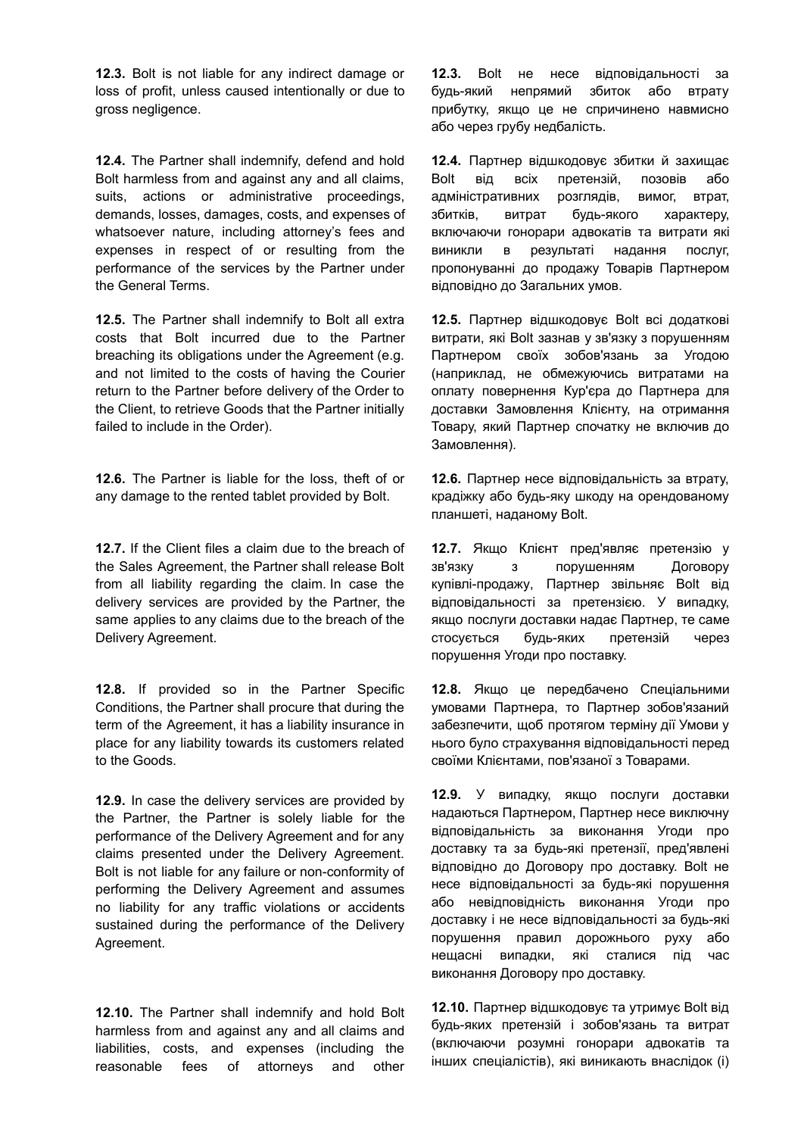**12.3.** Bolt is not liable for any indirect damage or loss of profit, unless caused intentionally or due to gross negligence.

**12.4.** The Partner shall indemnify, defend and hold Bolt harmless from and against any and all claims, suits, actions or administrative proceedings, demands, losses, damages, costs, and expenses of whatsoever nature, including attorney's fees and expenses in respect of or resulting from the performance of the services by the Partner under the General Terms.

**12.5.** The Partner shall indemnify to Bolt all extra costs that Bolt incurred due to the Partner breaching its obligations under the Agreement (e.g. and not limited to the costs of having the Courier return to the Partner before delivery of the Order to the Client, to retrieve Goods that the Partner initially failed to include in the Order).

**12.6.** The Partner is liable for the loss, theft of or any damage to the rented tablet provided by Bolt.

**12.7.** If the Client files a claim due to the breach of the Sales Agreement, the Partner shall release Bolt from all liability regarding the claim. In case the delivery services are provided by the Partner, the same applies to any claims due to the breach of the Delivery Agreement.

**12.8.** If provided so in the Partner Specific Conditions, the Partner shall procure that during the term of the Agreement, it has a liability insurance in place for any liability towards its customers related to the Goods.

**12.9.** In case the delivery services are provided by the Partner, the Partner is solely liable for the performance of the Delivery Agreement and for any claims presented under the Delivery Agreement. Bolt is not liable for any failure or non-conformity of performing the Delivery Agreement and assumes no liability for any traffic violations or accidents sustained during the performance of the Delivery Agreement.

**12.10.** The Partner shall indemnify and hold Bolt harmless from and against any and all claims and liabilities, costs, and expenses (including the reasonable fees of attorneys and other **12.3.** Bolt не несе відповідальності за будь-який непрямий збиток або втрату прибутку, якщо це не спричинено навмисно або через грубу недбалість.

**12.4.** Партнер відшкодовує збитки й захищає Bolt від всіх претензій, позовів або адміністративних розглядів, вимог, втрат, збитків, витрат будь-якого характеру, включаючи гонорари адвокатів та витрати які виникли в результаті надання послуг, пропонуванні до продажу Товарів Партнером відповідно до Загальних умов.

**12.5.** Партнер відшкодовує Bolt всі додаткові витрати, які Bolt зазнав у зв'язку з порушенням Партнером своїх зобов'язань за Угодою (наприклад, не обмежуючись витратами на оплату повернення Кур'єра до Партнера для доставки Замовлення Клієнту, на отримання Товару, який Партнер спочатку не включив до Замовлення).

**12.6.** Партнер несе відповідальність за втрату, крадіжку або будь-яку шкоду на орендованому планшеті, наданому Bolt.

**12.7.** Якщо Клієнт пред'являє претензію у зв'язку з порушенням Договору купівлі-продажу, Партнер звільняє Bolt від відповідальності за претензією. У випадку, якщо послуги доставки надає Партнер, те саме стосується будь-яких претензій через порушення Угоди про поставку.

**12.8.** Якщо це передбачено Спеціальними умовами Партнера, то Партнер зобов'язаний забезпечити, щоб протягом терміну дії Умови у нього було страхування відповідальності перед своїми Клієнтами, пов'язаної з Товарами.

**12.9.** У випадку, якщо послуги доставки надаються Партнером, Партнер несе виключну відповідальність за виконання Угоди про доставку та за будь-які претензії, пред'явлені відповідно до Договору про доставку. Bolt не несе відповідальності за будь-які порушення або невідповідність виконання Угоди про доставку і не несе відповідальності за будь-які порушення правил дорожнього руху або нещасні випадки, які сталися під час виконання Договору про доставку.

**12.10.** Партнер відшкодовує та утримує Bolt від будь-яких претензій і зобов'язань та витрат (включаючи розумні гонорари адвокатів та інших спеціалістів), які виникають внаслідок (i)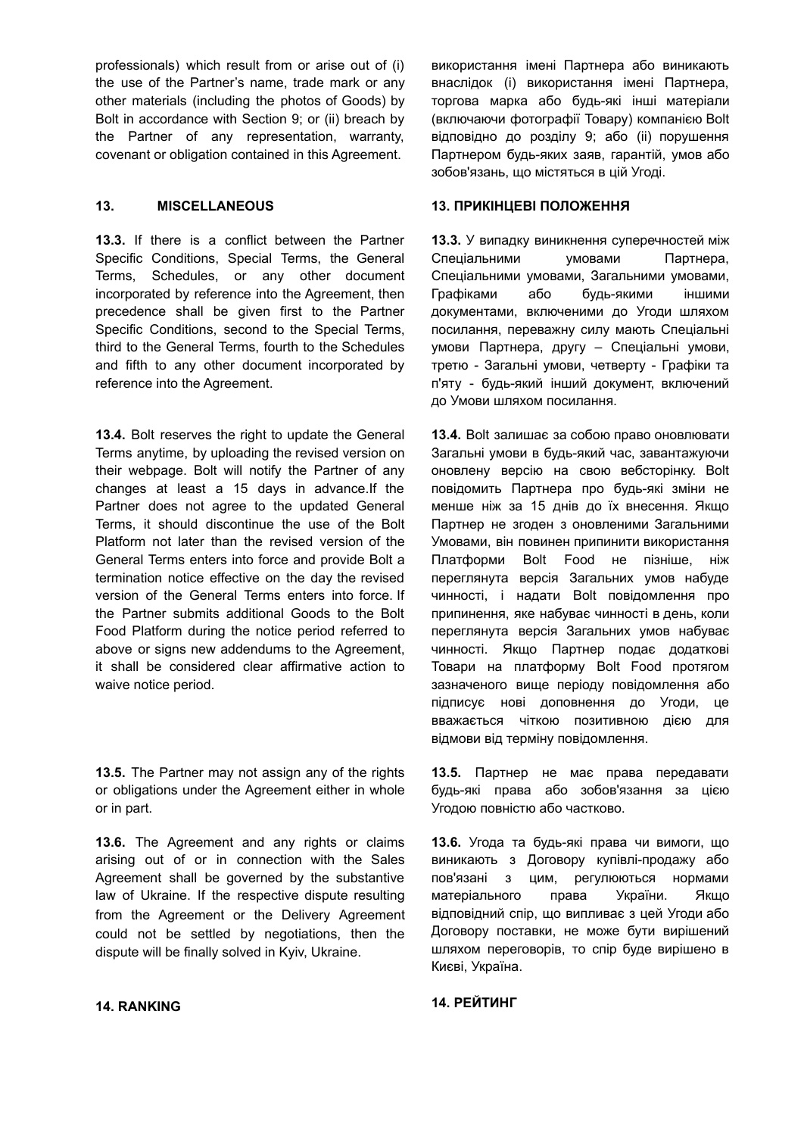professionals) which result from or arise out of (i) the use of the Partner's name, trade mark or any other materials (including the photos of Goods) by Bolt in accordance with Section 9; or (ii) breach by the Partner of any representation, warranty, covenant or obligation contained in this Agreement.

**13.3.** If there is a conflict between the Partner Specific Conditions, Special Terms, the General Terms, Schedules, or any other document incorporated by reference into the Agreement, then precedence shall be given first to the Partner Specific Conditions, second to the Special Terms, third to the General Terms, fourth to the Schedules and fifth to any other document incorporated by reference into the Agreement.

**13.4.** Bolt reserves the right to update the General Terms anytime, by uploading the revised version on their webpage. Bolt will notify the Partner of any changes at least a 15 days in advance.If the Partner does not agree to the updated General Terms, it should discontinue the use of the Bolt Platform not later than the revised version of the General Terms enters into force and provide Bolt a termination notice effective on the day the revised version of the General Terms enters into force. If the Partner submits additional Goods to the Bolt Food Platform during the notice period referred to above or signs new addendums to the Agreement, it shall be considered clear affirmative action to waive notice period.

**13.5.** The Partner may not assign any of the rights or obligations under the Agreement either in whole or in part.

**13.6.** The Agreement and any rights or claims arising out of or in connection with the Sales Agreement shall be governed by the substantive law of Ukraine. If the respective dispute resulting from the Agreement or the Delivery Agreement could not be settled by negotiations, then the dispute will be finally solved in Kyiv, Ukraine.

використання імені Партнера або виникають внаслідок (i) використання імені Партнера, торгова марка або будь-які інші матеріали (включаючи фотографії Товару) компанією Bolt відповідно до розділу 9; або (ii) порушення Партнером будь-яких заяв, гарантій, умов або зобов'язань, що містяться в цій Угоді.

### **13. MISCELLANEOUS 13. ПРИКІНЦЕВІ ПОЛОЖЕННЯ**

**13.3.** У випадку виникнення суперечностей між Спеціальними умовами Партнера, Спеціальними умовами, Загальними умовами, Графіками або будь-якими іншими документами, включеними до Угоди шляхом посилання, переважну силу мають Спеціальні умови Партнера, другу – Спеціальні умови, третю - Загальні умови, четверту - Графіки та п'яту - будь-який інший документ, включений до Умови шляхом посилання.

**13.4.** Bolt залишає за собою право оновлювати Загальні умови в будь-який час, завантажуючи оновлену версію на свою вебсторінку. Bolt повідомить Партнера про будь-які зміни не менше ніж за 15 днів до їх внесення. Якщо Партнер не згоден з оновленими Загальними Умовами, він повинен припинити використання Платформи Bolt Food не пізніше, ніж переглянута версія Загальних умов набуде чинності, і надати Bolt повідомлення про припинення, яке набуває чинності в день, коли переглянута версія Загальних умов набуває чинності. Якщо Партнер подає додаткові Товари на платформу Bolt Food протягом зазначеного вище періоду повідомлення або підписує нові доповнення до Угоди, це вважається чіткою позитивною дією для відмови від терміну повідомлення.

**13.5.** Партнер не має права передавати будь-які права або зобов'язання за цією Угодою повністю або частково.

**13.6.** Угода та будь-які права чи вимоги, що виникають з Договору купівлі-продажу або пов'язані з цим, регулюються нормами матеріального права України. Якщо відповідний спір, що випливає з цей Угоди або Договору поставки, не може бути вирішений шляхом переговорів, то спір буде вирішено в Києві, Україна.

### **14. RANKING 14. РЕЙТИНГ**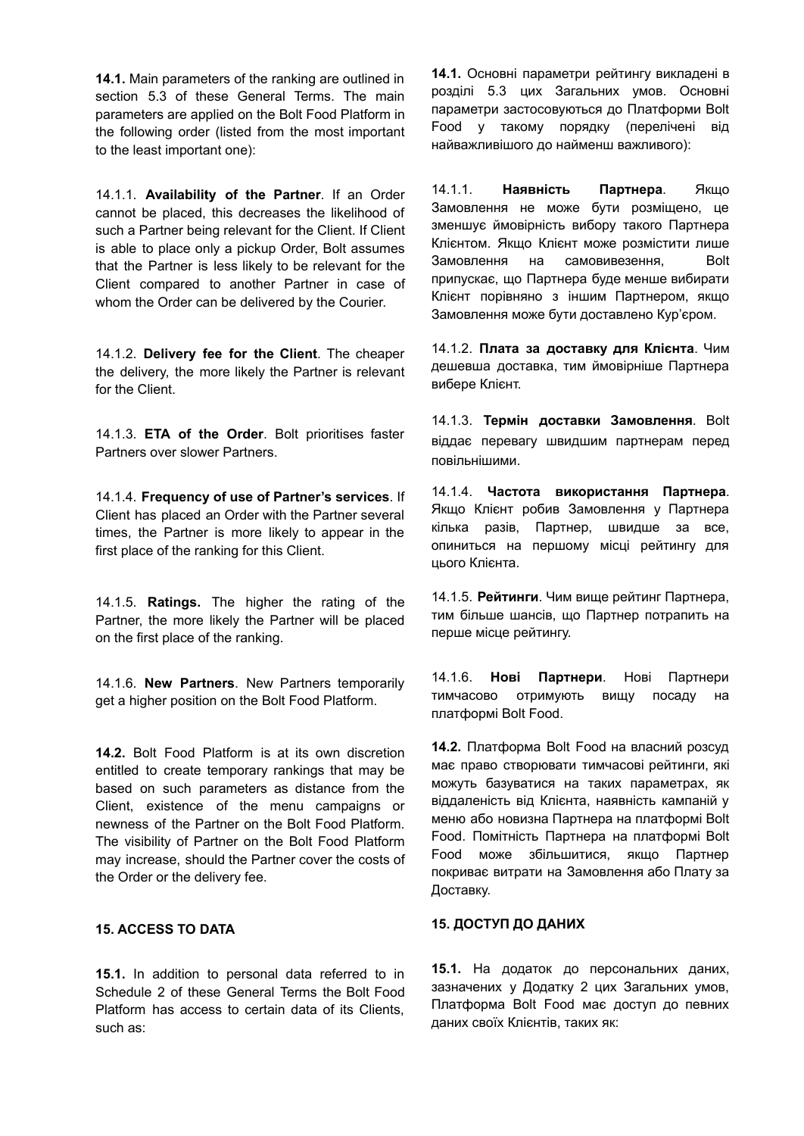**14.1.** Main parameters of the ranking are outlined in section 5.3 of these General Terms. The main parameters are applied on the Bolt Food Platform in the following order (listed from the most important to the least important one):

14.1.1. **Availability of the Partner**. If an Order cannot be placed, this decreases the likelihood of such a Partner being relevant for the Client. If Client is able to place only a pickup Order, Bolt assumes that the Partner is less likely to be relevant for the Client compared to another Partner in case of whom the Order can be delivered by the Courier.

14.1.2. **Delivery fee for the Client**. The cheaper the delivery, the more likely the Partner is relevant for the Client.

14.1.3. **ETA of the Order**. Bolt prioritises faster Partners over slower Partners.

14.1.4. **Frequency of use of Partner's services**. If Client has placed an Order with the Partner several times, the Partner is more likely to appear in the first place of the ranking for this Client.

14.1.5. **Ratings.** The higher the rating of the Partner, the more likely the Partner will be placed on the first place of the ranking.

14.1.6. **New Partners**. New Partners temporarily get a higher position on the Bolt Food Platform.

**14.2.** Bolt Food Platform is at its own discretion entitled to create temporary rankings that may be based on such parameters as distance from the Client, existence of the menu campaigns or newness of the Partner on the Bolt Food Platform. The visibility of Partner on the Bolt Food Platform may increase, should the Partner cover the costs of the Order or the delivery fee.

## **15. ACCESS TO DATA**

**15.1.** In addition to personal data referred to in Schedule 2 of these General Terms the Bolt Food Platform has access to certain data of its Clients, such as:

**14.1.** Основні параметри рейтингу викладені в розділі 5.3 цих Загальних умов. Основні параметри застосовуються до Платформи Bolt Food у такому порядку (перелічені від найважливішого до найменш важливого):

14.1.1. **Наявність Партнера**. Якщо Замовлення не може бути розміщено, це зменшує ймовірність вибору такого Партнера Клієнтом. Якщо Клієнт може розмістити лише Замовлення на самовивезення, Bolt припускає, що Партнера буде менше вибирати Клієнт порівняно з іншим Партнером, якщо Замовлення може бути доставлено Кур'єром.

14.1.2. **Плата за доставку для Клієнта**. Чим дешевша доставка, тим ймовірніше Партнера вибере Клієнт.

14.1.3. **Термін доставки Замовлення**. Bolt віддає перевагу швидшим партнерам перед повільнішими.

14.1.4. **Частота використання Партнера**. Якщо Клієнт робив Замовлення у Партнера кілька разів, Партнер, швидше за все, опиниться на першому місці рейтингу для цього Клієнта.

14.1.5. **Рейтинги**. Чим вище рейтинг Партнера, тим більше шансів, що Партнер потрапить на перше місце рейтингу.

14.1.6. **Нові Партнери**. Нові Партнери тимчасово отримують вищу посаду на платформі Bolt Food.

**14.2.** Платформа Bolt Food на власний розсуд має право створювати тимчасові рейтинги, які можуть базуватися на таких параметрах, як віддаленість від Клієнта, наявність кампаній у меню або новизна Партнера на платформі Bolt Food. Помітність Партнера на платформі Bolt Food може збільшитися, якщо Партнер покриває витрати на Замовлення або Плату за Доставку.

# **15. ДОСТУП ДО ДАНИХ**

**15.1.** На додаток до персональних даних, зазначених у Додатку 2 цих Загальних умов, Платформа Bolt Food має доступ до певних даних своїх Клієнтів, таких як: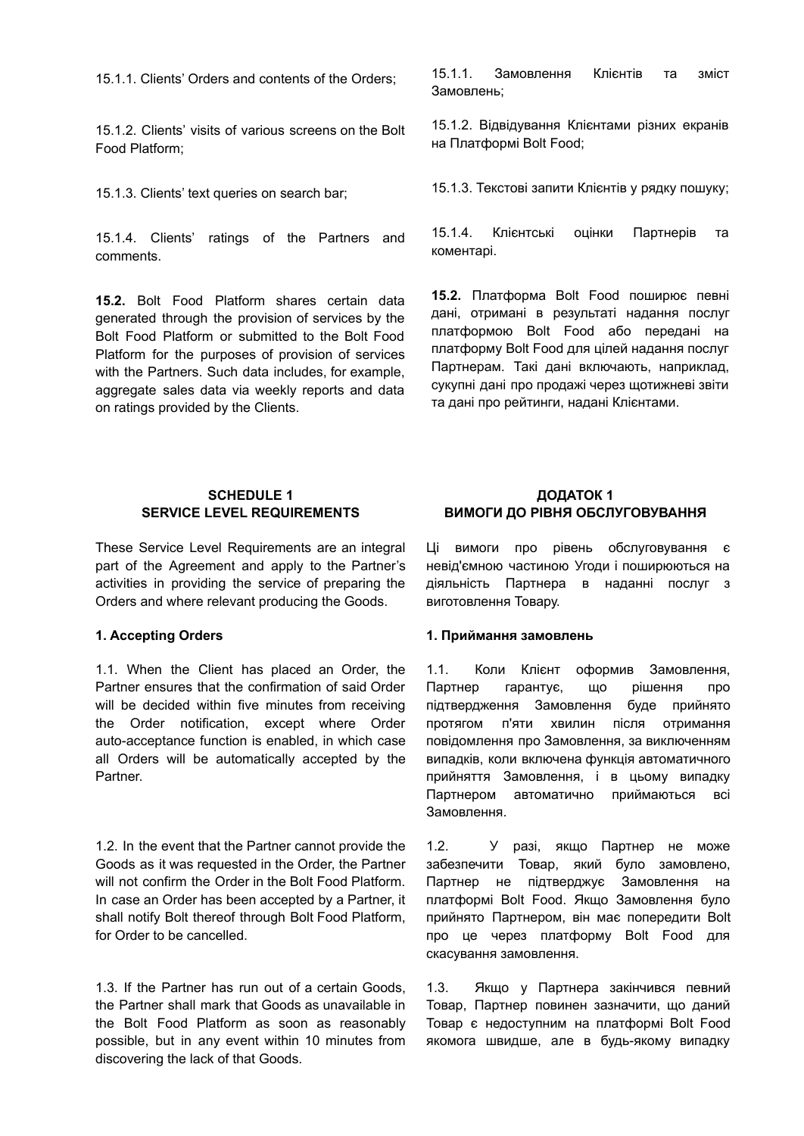15.1.1. Clients' Orders and contents of the Orders;

15.1.2. Clients' visits of various screens on the Bolt Food Platform;

15.1.3. Clients' text queries on search bar;

15.1.4. Clients' ratings of the Partners and comments.

**15.2.** Bolt Food Platform shares certain data generated through the provision of services by the Bolt Food Platform or submitted to the Bolt Food Platform for the purposes of provision of services with the Partners. Such data includes, for example, aggregate sales data via weekly reports and data on ratings provided by the Clients.

15.1.1. Замовлення Клієнтів та зміст Замовлень;

15.1.2. Відвідування Клієнтами різних екранів на Платформі Bolt Food;

15.1.3. Текстові запити Клієнтів у рядку пошуку;

15.1.4. Клієнтські оцінки Партнерів та коментарі.

**15.2.** Платформа Bolt Food поширює певні дані, отримані в результаті надання послуг платформою Bolt Food або передані на платформу Bolt Food для цілей надання послуг Партнерам. Такі дані включають, наприклад, сукупні дані про продажі через щотижневі звіти та дані про рейтинги, надані Клієнтами.

### **SCHEDULE 1 SERVICE LEVEL REQUIREMENTS**

These Service Level Requirements are an integral part of the Agreement and apply to the Partner's activities in providing the service of preparing the Orders and where relevant producing the Goods.

1.1. When the Client has placed an Order, the Partner ensures that the confirmation of said Order will be decided within five minutes from receiving the Order notification, except where Order auto-acceptance function is enabled, in which case all Orders will be automatically accepted by the Partner.

1.2. In the event that the Partner cannot provide the Goods as it was requested in the Order, the Partner will not confirm the Order in the Bolt Food Platform. In case an Order has been accepted by a Partner, it shall notify Bolt thereof through Bolt Food Platform, for Order to be cancelled.

1.3. If the Partner has run out of a certain Goods, the Partner shall mark that Goods as unavailable in the Bolt Food Platform as soon as reasonably possible, but in any event within 10 minutes from discovering the lack of that Goods.

# **ДОДАТОК 1 ВИМОГИ ДО РІВНЯ ОБСЛУГОВУВАННЯ**

Ці вимоги про рівень обслуговування є невід'ємною частиною Угоди і поширюються на діяльність Партнера в наданні послуг з виготовлення Товару.

### **1. Accepting Orders 1. Приймання замовлень**

1.1. Коли Клієнт оформив Замовлення, Партнер гарантує, що рішення про підтвердження Замовлення буде прийнято протягом п'яти хвилин після отримання повідомлення про Замовлення, за виключенням випадків, коли включена функція автоматичного прийняття Замовлення, і в цьому випадку Партнером автоматично приймаються всі Замовлення.

1.2. У разі, якщо Партнер не може забезпечити Товар, який було замовлено, Партнер не підтверджує Замовлення на платформі Bolt Food. Якщо Замовлення було прийнято Партнером, він має попередити Bolt про це через платформу Bolt Food для скасування замовлення.

1.3. Якщо у Партнера закінчився певний Товар, Партнер повинен зазначити, що даний Товар є недоступним на платформі Bolt Food якомога швидше, але в будь-якому випадку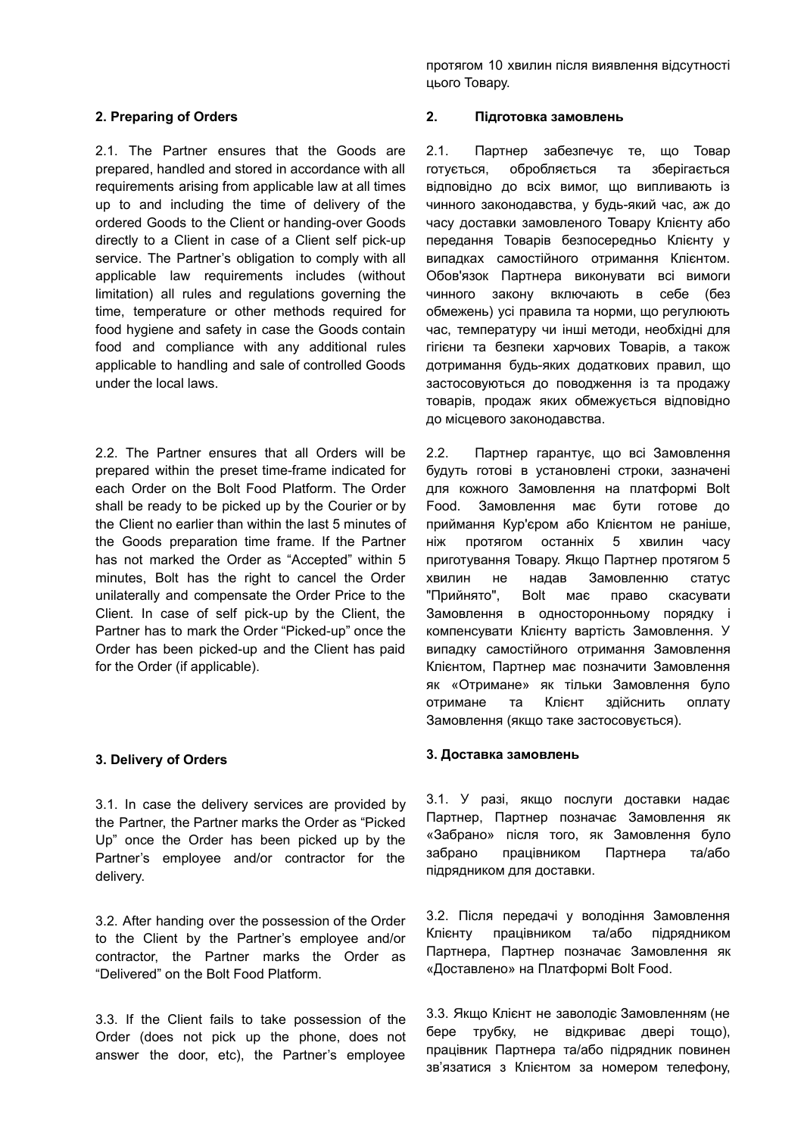2.1. The Partner ensures that the Goods are prepared, handled and stored in accordance with all requirements arising from applicable law at all times up to and including the time of delivery of the ordered Goods to the Client or handing-over Goods directly to a Client in case of a Client self pick-up service. The Partner's obligation to comply with all applicable law requirements includes (without limitation) all rules and regulations governing the time, temperature or other methods required for food hygiene and safety in case the Goods contain food and compliance with any additional rules applicable to handling and sale of controlled Goods under the local laws.

2.2. The Partner ensures that all Orders will be prepared within the preset time-frame indicated for each Order on the Bolt Food Platform. The Order shall be ready to be picked up by the Courier or by the Client no earlier than within the last 5 minutes of the Goods preparation time frame. If the Partner has not marked the Order as "Accepted" within 5 minutes, Bolt has the right to cancel the Order unilaterally and compensate the Order Price to the Client. In case of self pick-up by the Client, the Partner has to mark the Order "Picked-up" once the Order has been picked-up and the Client has paid for the Order (if applicable).

### **3. Delivery of Orders**

3.1. In case the delivery services are provided by the Partner, the Partner marks the Order as "Picked Up" once the Order has been picked up by the Partner's employee and/or contractor for the delivery.

3.2. After handing over the possession of the Order to the Client by the Partner's employee and/or contractor, the Partner marks the Order as "Delivered" on the Bolt Food Platform.

3.3. If the Client fails to take possession of the Order (does not pick up the phone, does not answer the door, etc), the Partner's employee протягом 10 хвилин після виявлення відсутності цього Товару.

### **2. Preparing of Orders 2. Підготовка замовлень**

2.1. Партнер забезпечує те, що Товар готується, обробляється та зберігається відповідно до всіх вимог, що випливають із чинного законодавства, у будь-який час, аж до часу доставки замовленого Товару Клієнту або передання Товарів безпосередньо Клієнту у випадках самостійного отримання Клієнтом. Обов'язок Партнера виконувати всі вимоги чинного закону включають в себе (без обмежень) усі правила та норми, що регулюють час, температуру чи інші методи, необхідні для гігієни та безпеки харчових Товарів, а також дотримання будь-яких додаткових правил, що застосовуються до поводження із та продажу товарів, продаж яких обмежується відповідно до місцевого законодавства.

2.2. Партнер гарантує, що всі Замовлення будуть готові в установлені строки, зазначені для кожного Замовлення на платформі Bolt Food. Замовлення має бути готове до приймання Кур'єром або Клієнтом не раніше, ніж протягом останніх 5 хвилин часу приготування Товару. Якщо Партнер протягом 5 хвилин не надав Замовленню статус "Прийнято", Bolt має право скасувати Замовлення в односторонньому порядку і компенсувати Клієнту вартість Замовлення. У випадку самостійного отримання Замовлення Клієнтом, Партнер має позначити Замовлення як «Отримане» як тільки Замовлення було отримане та Клієнт здійснить оплату Замовлення (якщо таке застосовується).

### **3. Доставка замовлень**

3.1. У разі, якщо послуги доставки надає Партнер, Партнер позначає Замовлення як «Забрано» після того, як Замовлення було забрано працiвником Партнера та/або підрядником для доставки.

3.2. Після передачі у володіння Замовлення Клієнту працiвником та/або підрядником Партнера, Партнер позначає Замовлення як «Доставлено» на Платформі Bolt Food.

3.3. Якщо Клієнт не заволодіє Замовленням (не бере трубку, не відкриває двері тощо), працівник Партнера та/або підрядник повинен зв'язатися з Клієнтом за номером телефону,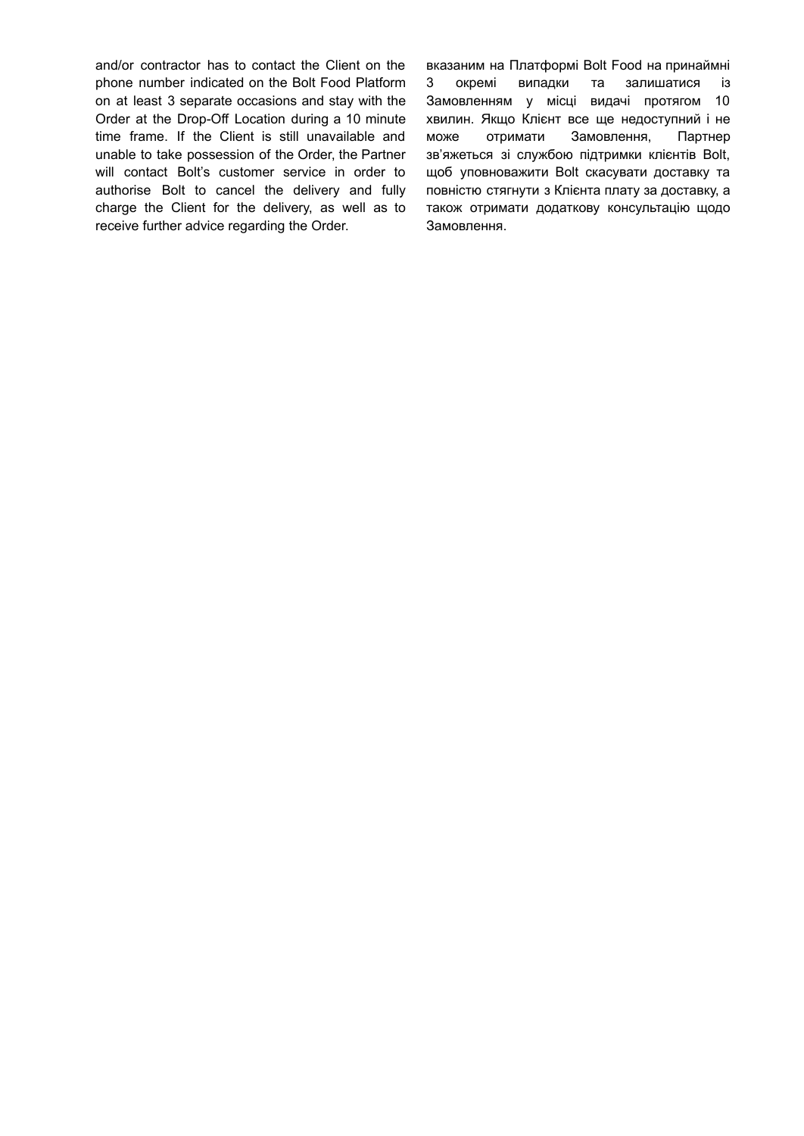and/or contractor has to contact the Client on the phone number indicated on the Bolt Food Platform on at least 3 separate occasions and stay with the Order at the Drop-Off Location during a 10 minute time frame. If the Client is still unavailable and unable to take possession of the Order, the Partner will contact Bolt's customer service in order to authorise Bolt to cancel the delivery and fully charge the Client for the delivery, as well as to receive further advice regarding the Order.

вказаним на Платформі Bolt Food на принаймні 3 окремі випадки та залишатися із Замовленням у місці видачі протягом 10 хвилин. Якщо Клієнт все ще недоступний і не може отримати Замовлення, Партнер зв'яжеться зі службою підтримки клієнтів Bolt, щоб уповноважити Bolt скасувати доставку та повністю стягнути з Клієнта плату за доставку, а також отримати додаткову консультацію щодо Замовлення.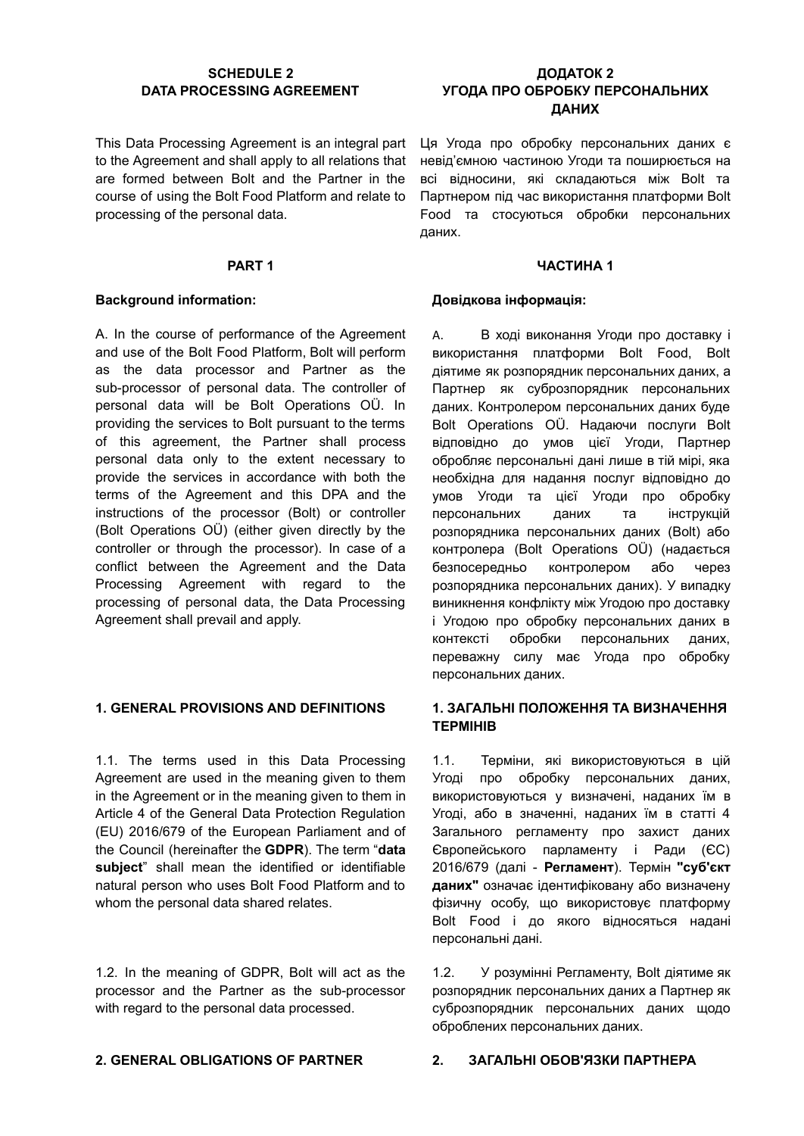### **SCHEDULE 2 DATA PROCESSING AGREEMENT**

This Data Processing Agreement is an integral part to the Agreement and shall apply to all relations that are formed between Bolt and the Partner in the course of using the Bolt Food Platform and relate to processing of the personal data.

### **Background information: Довідкова інформація:**

A. In the course of performance of the Agreement and use of the Bolt Food Platform, Bolt will perform as the data processor and Partner as the sub-processor of personal data. The controller of personal data will be Bolt Operations OÜ. In providing the services to Bolt pursuant to the terms of this agreement, the Partner shall process personal data only to the extent necessary to provide the services in accordance with both the terms of the Agreement and this DPA and the instructions of the processor (Bolt) or controller (Bolt Operations OÜ) (either given directly by the controller or through the processor). In case of a conflict between the Agreement and the Data Processing Agreement with regard to the processing of personal data, the Data Processing Agreement shall prevail and apply.

1.1. The terms used in this Data Processing Agreement are used in the meaning given to them in the Agreement or in the meaning given to them in Article 4 of the General Data Protection Regulation (EU) 2016/679 of the European Parliament and of the Council (hereinafter the **GDPR**). The term "**data subject**" shall mean the identified or identifiable natural person who uses Bolt Food Platform and to whom the personal data shared relates.

1.2. In the meaning of GDPR, Bolt will act as the processor and the Partner as the sub-processor with regard to the personal data processed.

# **ДОДАТОК 2 УГОДА ПРО ОБРОБКУ ПЕРСОНАЛЬНИХ ДАНИХ**

Ця Угода про обробку персональних даних є невід'ємною частиною Угоди та поширюється на всі відносини, які складаються між Bolt та Партнером під час використання платформи Bolt Food та стосуються обробки персональних даних.

### **PART 1 ЧАСТИНА 1**

A. В ході виконання Угоди про доставку і використання платформи Bolt Food, Bolt діятиме як розпорядник персональних даних, а Партнер як суброзпорядник персональних даних. Контролером персональних даних буде Bolt Operations OÜ. Надаючи послуги Bolt відповідно до умов цієї Угоди, Партнер обробляє персональні дані лише в тій мірі, яка необхідна для надання послуг відповідно до умов Угоди та цієї Угоди про обробку персональних даних та інструкцій розпорядника персональних даних (Bolt) або контролера (Bolt Operations OÜ) (надається безпосередньо контролером або через розпорядника персональних даних). У випадку виникнення конфлікту між Угодою про доставку і Угодою про обробку персональних даних в контексті обробки персональних даних, переважну силу має Угода про обробку персональних даних.

### **1. GENERAL PROVISIONS AND DEFINITIONS 1. ЗАГАЛЬНІ ПОЛОЖЕННЯ ТА ВИЗНАЧЕННЯ ТЕРМІНІВ**

1.1. Терміни, які використовуються в цій Угоді про обробку персональних даних, використовуються у визначені, наданих їм в Угоді, або в значенні, наданих їм в статті 4 Загального регламенту про захист даних Європейського парламенту і Ради (ЄС) 2016/679 (далі - **Регламент**). Термін **"суб'єкт даних"** означає ідентифіковану або визначену фізичну особу, що використовує платформу Bolt Food і до якого відносяться надані персональні дані.

1.2. У розумінні Регламенту, Bolt діятиме як розпорядник персональних даних а Партнер як суброзпорядник персональних даних щодо оброблених персональних даних.

### **2. GENERAL OBLIGATIONS OF PARTNER 2. ЗАГАЛЬНІ ОБОВ'ЯЗКИ ПАРТНЕРА**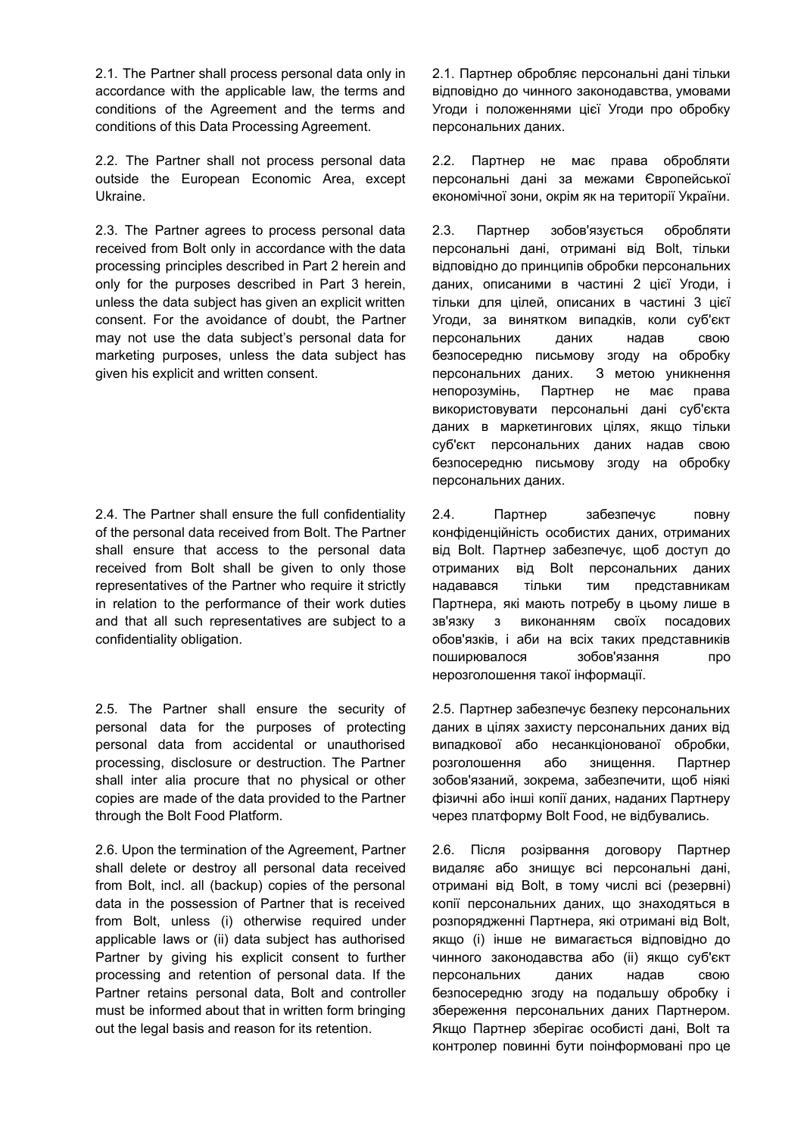2.1. The Partner shall process personal data only in accordance with the applicable law, the terms and conditions of the Agreement and the terms and conditions of this Data Processing Agreement.

2.2. The Partner shall not process personal data outside the European Economic Area, except Ukraine.

2.3. The Partner agrees to process personal data received from Bolt only in accordance with the data processing principles described in Part 2 herein and only for the purposes described in Part 3 herein, unless the data subject has given an explicit written consent. For the avoidance of doubt, the Partner may not use the data subject's personal data for marketing purposes, unless the data subject has given his explicit and written consent.

2.4. The Partner shall ensure the full confidentiality of the personal data received from Bolt. The Partner shall ensure that access to the personal data received from Bolt shall be given to only those representatives of the Partner who require it strictly in relation to the performance of their work duties and that all such representatives are subject to a confidentiality obligation.

2.5. The Partner shall ensure the security of personal data for the purposes of protecting personal data from accidental or unauthorised processing, disclosure or destruction. The Partner shall inter alia procure that no physical or other copies are made of the data provided to the Partner through the Bolt Food Platform.

2.6. Upon the termination of the Agreement, Partner shall delete or destroy all personal data received from Bolt, incl. all (backup) copies of the personal data in the possession of Partner that is received from Bolt, unless (i) otherwise required under applicable laws or (ii) data subject has authorised Partner by giving his explicit consent to further processing and retention of personal data. If the Partner retains personal data, Bolt and controller must be informed about that in written form bringing out the legal basis and reason for its retention.

2.1. Партнер обробляє персональні дані тільки відповідно до чинного законодавства, умовами Угоди і положеннями цієї Угоди про обробку персональних даних.

2.2. Партнер не має права обробляти персональні дані за межами Європейської економічної зони, окрім як на території України.

2.3. Партнер зобов'язується обробляти персональні дані, отримані від Bolt, тільки відповідно до принципів обробки персональних даних, описаними в частині 2 цієї Угоди, і тільки для цілей, описаних в частині 3 цієї Угоди, за винятком випадків, коли суб'єкт персональних даних надав свою безпосередню письмову згоду на обробку персональних даних. З метою уникнення непорозумінь, Партнер не має права використовувати персональні дані суб'єкта даних в маркетингових цілях, якщо тільки суб'єкт персональних даних надав свою безпосередню письмову згоду на обробку персональних даних.

2.4. Партнер забезпечує повну конфіденційність особистих даних, отриманих від Bolt. Партнер забезпечує, щоб доступ до отриманих від Bolt персональних даних надавався тільки тим представникам Партнера, які мають потребу в цьому лише в зв'язку з виконанням своїх посадових обов'язків, і аби на всіх таких представників поширювалося зобов'язання про нерозголошення такої інформації.

2.5. Партнер забезпечує безпеку персональних даних в цілях захисту персональних даних від випадкової або несанкціонованої обробки, розголошення або знищення. Партнер зобов'язаний, зокрема, забезпечити, щоб ніякі фізичні або інші копії даних, наданих Партнеру через платформу Bolt Food, не відбувались.

2.6. Після розірвання договору Партнер видаляє або знищує всі персональні дані, отримані від Bolt, в тому числі всі (резервні) копії персональних даних, що знаходяться в розпорядженні Партнера, які отримані від Bolt, якщо (і) інше не вимагається відповідно до чинного законодавства або (іі) якщо суб'єкт персональних даних надав свою безпосередню згоду на подальшу обробку і збереження персональних даних Партнером. Якщо Партнер зберігає особисті дані, Bolt та контролер повинні бути поінформовані про це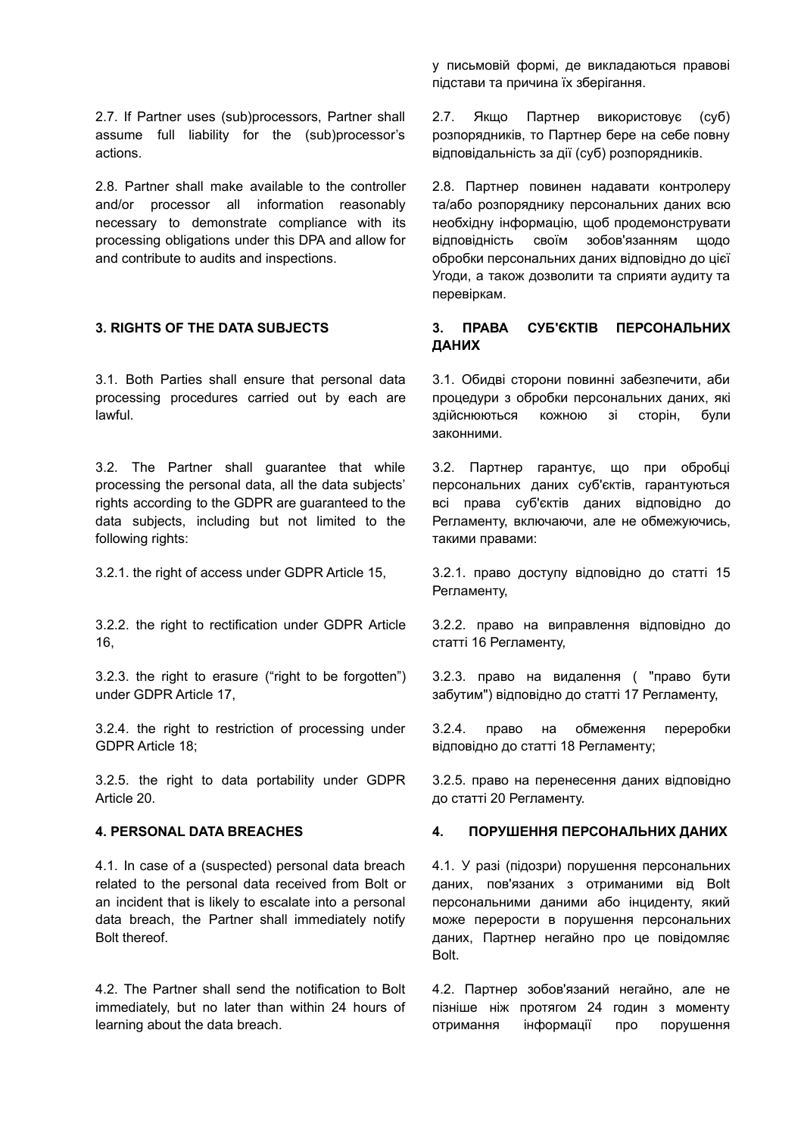2.7. If Partner uses (sub)processors, Partner shall assume full liability for the (sub)processor's actions.

2.8. Partner shall make available to the controller and/or processor all information reasonably necessary to demonstrate compliance with its processing obligations under this DPA and allow for and contribute to audits and inspections.

3.1. Both Parties shall ensure that personal data processing procedures carried out by each are lawful.

3.2. The Partner shall guarantee that while processing the personal data, all the data subjects' rights according to the GDPR are guaranteed to the data subjects, including but not limited to the following rights:

3.2.2. the right to rectification under GDPR Article 16,

3.2.3. the right to erasure ("right to be forgotten") under GDPR Article 17,

3.2.4. the right to restriction of processing under GDPR Article 18;

3.2.5. the right to data portability under GDPR Article 20.

4.1. In case of a (suspected) personal data breach related to the personal data received from Bolt or an incident that is likely to escalate into a personal data breach, the Partner shall immediately notify Bolt thereof.

4.2. The Partner shall send the notification to Bolt immediately, but no later than within 24 hours of learning about the data breach.

у письмовій формі, де викладаються правові підстави та причина їх зберігання.

2.7. Якщо Партнер використовує (суб) розпорядників, то Партнер бере на себе повну відповідальність за дії (суб) розпорядників.

2.8. Партнер повинен надавати контролеру та/або розпоряднику персональних даних всю необхідну інформацію, щоб продемонструвати відповідність своїм зобов'язанням щодо обробки персональних даних відповідно до цієї Угоди, а також дозволити та сприяти аудиту та перевіркам.

# **3. RIGHTS OF THE DATA SUBJECTS 3. ПРАВА СУБ'ЄКТІВ ПЕРСОНАЛЬНИХ ДАНИХ**

3.1. Обидві сторони повинні забезпечити, аби процедури з обробки персональних даних, які здійснюються кожною зі сторін, були законними.

3.2. Партнер гарантує, що при обробці персональних даних суб'єктів, гарантуються всі права суб'єктів даних відповідно до Регламенту, включаючи, але не обмежуючись, такими правами:

3.2.1. the right of access under GDPR Article 15, 3.2.1. право доступу відповідно до статті 15 Регламенту,

> 3.2.2. право на виправлення відповідно до статті 16 Регламенту,

> 3.2.3. право на видалення ( "право бути забутим") відповідно до статті 17 Регламенту,

> 3.2.4. право на обмеження переробки відповідно до статті 18 Регламенту;

> 3.2.5. право на перенесення даних відповідно до статті 20 Регламенту.

### **4. PERSONAL DATA BREACHES 4. ПОРУШЕННЯ ПЕРСОНАЛЬНИХ ДАНИХ**

4.1. У разі (підозри) порушення персональних даних, пов'язаних з отриманими від Bolt персональними даними або інциденту, який може перерости в порушення персональних даних, Партнер негайно про це повідомляє **Bolt** 

4.2. Партнер зобов'язаний негайно, але не пізніше ніж протягом 24 годин з моменту отримання інформації про порушення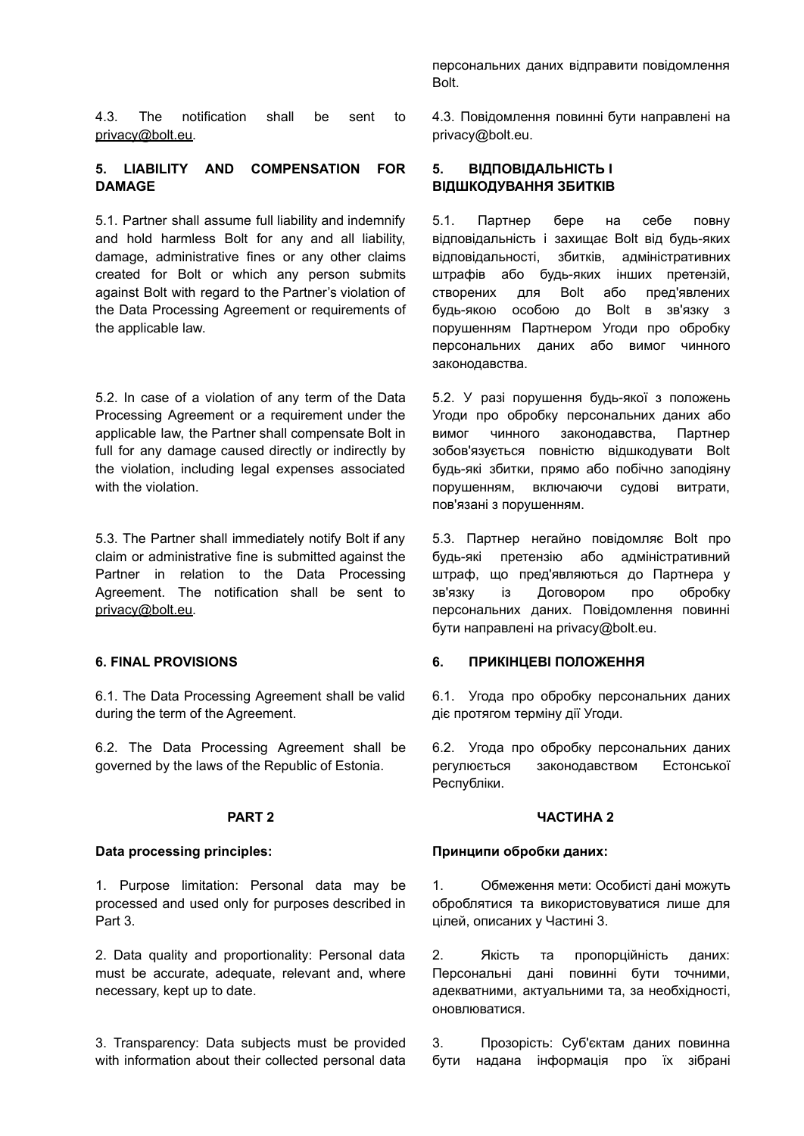4.3. The notification shall be sent to [privacy@bolt.eu.](mailto:privacy@bolt.eu)

### **5. LIABILITY AND COMPENSATION FOR DAMAGE**

5.1. Partner shall assume full liability and indemnify and hold harmless Bolt for any and all liability, damage, administrative fines or any other claims created for Bolt or which any person submits against Bolt with regard to the Partner's violation of the Data Processing Agreement or requirements of the applicable law.

5.2. In case of a violation of any term of the Data Processing Agreement or a requirement under the applicable law, the Partner shall compensate Bolt in full for any damage caused directly or indirectly by the violation, including legal expenses associated with the violation

5.3. The Partner shall immediately notify Bolt if any claim or administrative fine is submitted against the Partner in relation to the Data Processing Agreement. The notification shall be sent to [privacy@bolt.eu.](mailto:privacy@bolt.eu)

6.1. The Data Processing Agreement shall be valid during the term of the Agreement.

6.2. The Data Processing Agreement shall be governed by the laws of the Republic of Estonia.

1. Purpose limitation: Personal data may be processed and used only for purposes described in Part 3.

2. Data quality and proportionality: Personal data must be accurate, adequate, relevant and, where necessary, kept up to date.

3. Transparency: Data subjects must be provided with information about their collected personal data

персональних даних відправити повідомлення Bolt.

4.3. Повідомлення повинні бути направлені на privacy@bolt.eu.

# **5. ВІДПОВІДАЛЬНІСТЬ І ВІДШКОДУВАННЯ ЗБИТКІВ**

5.1. Партнер бере на себе повну відповідальність і захищає Bolt від будь-яких відповідальності, збитків, адміністративних штрафів або будь-яких інших претензій, створених для Bolt або пред'явлених будь-якою особою до Bolt в зв'язку з порушенням Партнером Угоди про обробку персональних даних або вимог чинного законодавства.

5.2. У разі порушення будь-якої з положень Угоди про обробку персональних даних або вимог чинного законодавства, Партнер зобов'язується повністю відшкодувати Bolt будь-які збитки, прямо або побічно заподіяну порушенням, включаючи судові витрати, пов'язані з порушенням.

5.3. Партнер негайно повідомляє Bolt про будь-які претензію або адміністративний штраф, що пред'являються до Партнера у зв'язку із Договором про обробку персональних даних. Повідомлення повинні бути направлені на privacy@bolt.eu.

### **6. FINAL PROVISIONS 6. ПРИКІНЦЕВІ ПОЛОЖЕННЯ**

6.1. Угода про обробку персональних даних діє протягом терміну дії Угоди.

6.2. Угода про обробку персональних даних регулюється законодавством Естонської Республіки.

### **PART 2 ЧАСТИНА 2**

### **Data processing principles: Принципи обробки даних:**

1. Обмеження мети: Особисті дані можуть оброблятися та використовуватися лише для цілей, описаних у Частині 3.

2. Якість та пропорційність даних: Персональні дані повинні бути точними, адекватними, актуальними та, за необхідності, оновлюватися.

3. Прозорість: Суб'єктам даних повинна бути надана інформація про їх зібрані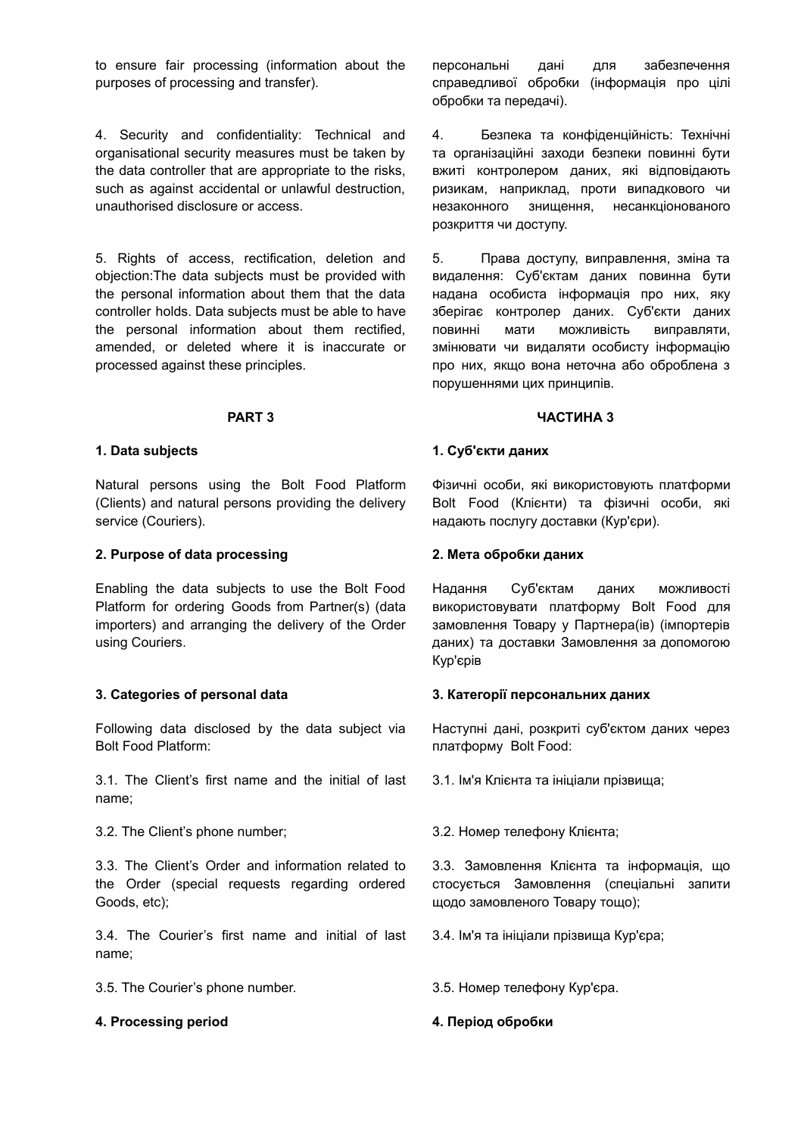to ensure fair processing (information about the purposes of processing and transfer).

4. Security and confidentiality: Technical and organisational security measures must be taken by the data controller that are appropriate to the risks, such as against accidental or unlawful destruction, unauthorised disclosure or access.

5. Rights of access, rectification, deletion and objection:The data subjects must be provided with the personal information about them that the data controller holds. Data subjects must be able to have the personal information about them rectified, amended, or deleted where it is inaccurate or processed against these principles.

Natural persons using the Bolt Food Platform (Clients) and natural persons providing the delivery service (Couriers).

### **2. Purpose of data processing 2. Мета обробки даних**

Enabling the data subjects to use the Bolt Food Platform for ordering Goods from Partner(s) (data importers) and arranging the delivery of the Order using Couriers.

Following data disclosed by the data subject via Bolt Food Platform:

3.1. The Client's first name and the initial of last name;

3.2. The Client's phone number; 3.2. Номер телефону Клієнта;

3.3. The Client's Order and information related to the Order (special requests regarding ordered Goods, etc);

3.4. The Courier's first name and initial of last name;

3.5. The Courier's phone number. 3.5. Номер телефону Кур'єра.

### **4. Processing period 4. Період обробки**

персональні дані для забезпечення справедливої обробки (інформація про цілі обробки та передачі).

4. Безпека та конфіденційність: Технічні та організаційні заходи безпеки повинні бути вжиті контролером даних, які відповідають ризикам, наприклад, проти випадкового чи незаконного знищення, несанкціонованого розкриття чи доступу.

5. Права доступу, виправлення, зміна та видалення: Суб'єктам даних повинна бути надана особиста інформація про них, яку зберігає контролер даних. Суб'єкти даних повинні мати можливість виправляти, змінювати чи видаляти особисту інформацію про них, якщо вона неточна або оброблена з порушеннями цих принципів.

### **PART 3 ЧАСТИНА 3**

### **1. Data subjects 1. Суб'єкти даних**

Фізичні особи, які використовують платформи Bolt Food (Клієнти) та фізичні особи, які надають послугу доставки (Кур'єри).

Надання Суб'єктам даних можливості використовувати платформу Bolt Food для замовлення Товару у Партнера(ів) (імпортерів даних) та доставки Замовлення за допомогою Кур'єрів

### **3. Categories of personal data 3. Категорії персональних даних**

Наступні дані, розкриті суб'єктом даних через платформу Bolt Food:

3.1. Ім'я Клієнта та ініціали прізвища;

3.3. Замовлення Клієнта та інформація, що стосується Замовлення (спеціальні запити щодо замовленого Товару тощо);

3.4. Ім'я та ініціали прізвища Кур'єра;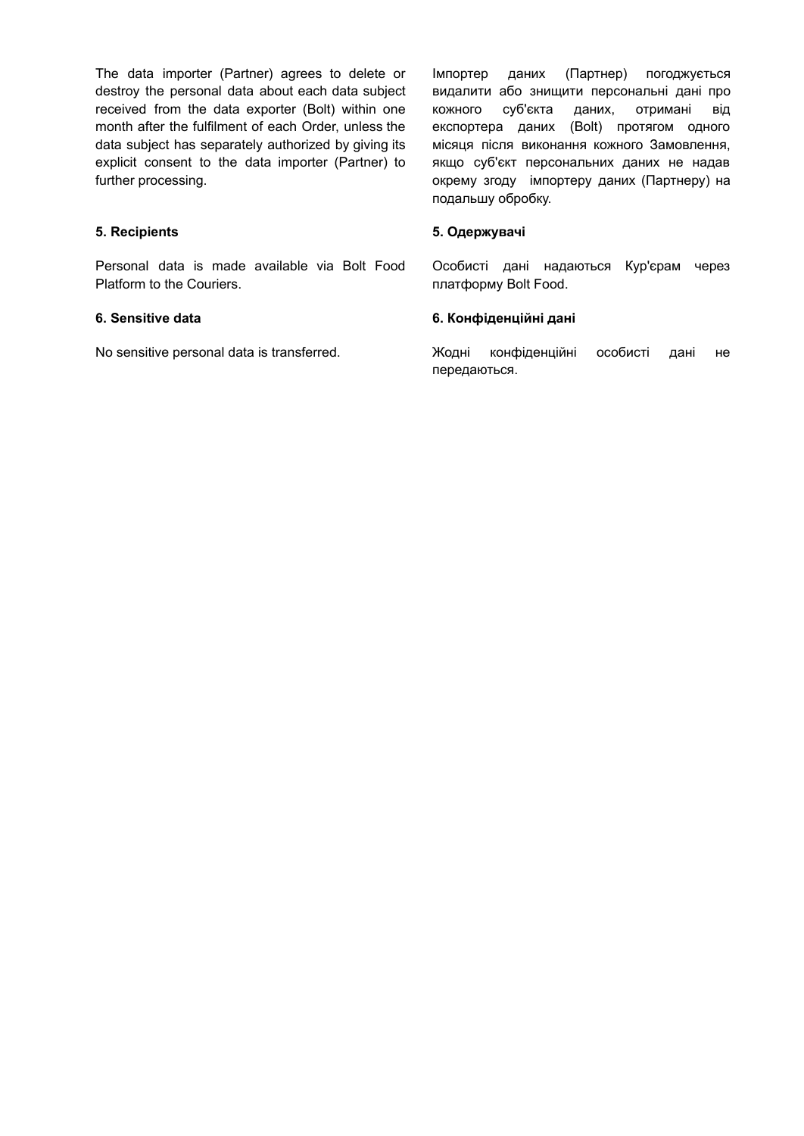The data importer (Partner) agrees to delete or destroy the personal data about each data subject received from the data exporter (Bolt) within one month after the fulfilment of each Order, unless the data subject has separately authorized by giving its explicit consent to the data importer (Partner) to further processing.

Personal data is made available via Bolt Food Platform to the Couriers.

Імпортер даних (Партнер) погоджується видалити або знищити персональні дані про кожного суб'єкта даних, отримані від експортера даних (Bolt) протягом одного місяця після виконання кожного Замовлення, якщо суб'єкт персональних даних не надав окрему згоду імпортеру даних (Партнеру) на подальшу обробку.

### **5. Recipients 5. Одержувачі**

Особисті дані надаються Кур'єрам через платформу Bolt Food.

### **6. Sensitive data 6. Конфіденційні дані**

No sensitive personal data is transferred. Жодні конфіденційні особисті дані не передаються.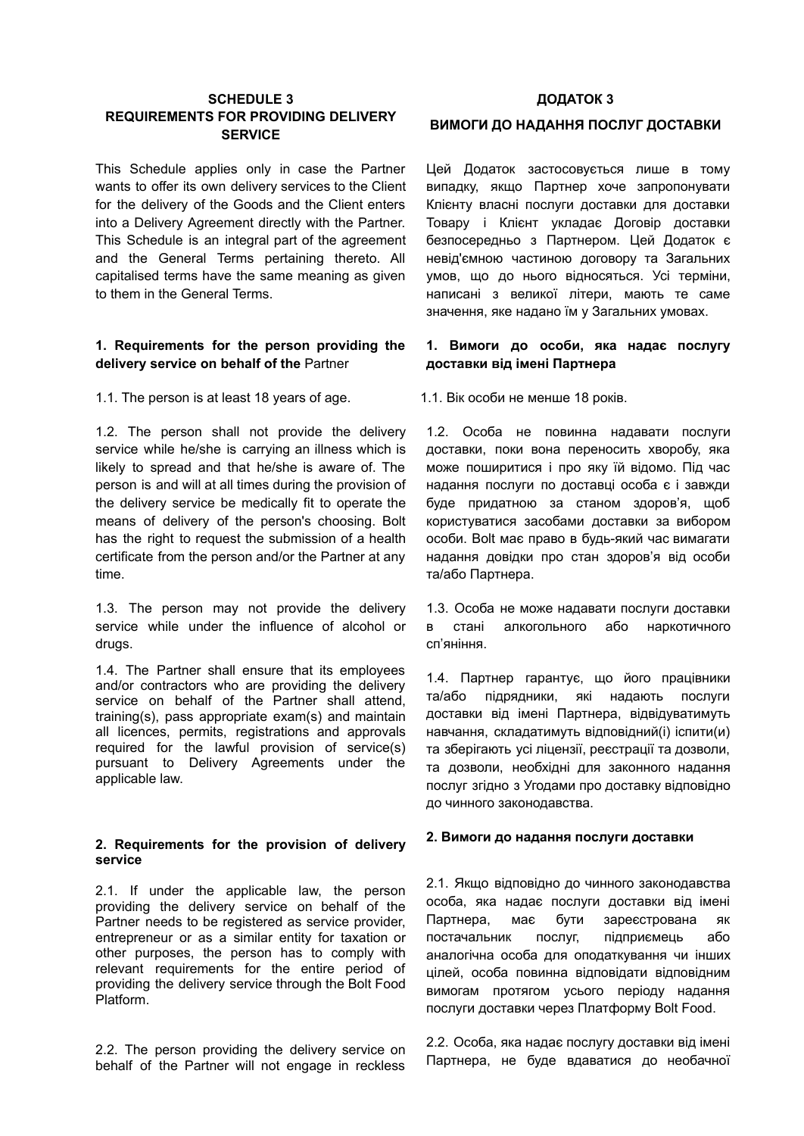# **SCHEDULE 3 REQUIREMENTS FOR PROVIDING DELIVERY SERVICE**

This Schedule applies only in case the Partner wants to offer its own delivery services to the Client for the delivery of the Goods and the Client enters into a Delivery Agreement directly with the Partner. This Schedule is an integral part of the agreement and the General Terms pertaining thereto. All capitalised terms have the same meaning as given to them in the General Terms.

### **1. Requirements for the person providing the delivery service on behalf of the** Partner

1.1. The person is at least 18 years of age. 1.1. Вік особи не менше 18 років.

1.2. The person shall not provide the delivery service while he/she is carrying an illness which is likely to spread and that he/she is aware of. The person is and will at all times during the provision of the delivery service be medically fit to operate the means of delivery of the person's choosing. Bolt has the right to request the submission of a health certificate from the person and/or the Partner at any time.

1.3. The person may not provide the delivery service while under the influence of alcohol or drugs.

1.4. The Partner shall ensure that its employees and/or contractors who are providing the delivery service on behalf of the Partner shall attend, training(s), pass appropriate exam(s) and maintain all licenсes, permits, registrations and approvals required for the lawful provision of service(s) pursuant to Delivery Agreements under the applicable law.

### **2. Requirements for the provision of delivery service**

2.1. If under the applicable law, the person providing the delivery service on behalf of the Partner needs to be registered as service provider, entrepreneur or as a similar entity for taxation or other purposes, the person has to comply with relevant requirements for the entire period of providing the delivery service through the Bolt Food Platform.

2.2. The person providing the delivery service on behalf of the Partner will not engage in reckless

# **ДОДАТОК 3**

### **ВИМОГИ ДО НАДАННЯ ПОСЛУГ ДОСТАВКИ**

Цей Додаток застосовується лише в тому випадку, якщо Партнер хоче запропонувати Клієнту власні послуги доставки для доставки Товару і Клієнт укладає Договір доставки безпосередньо з Партнером. Цей Додаток є невід'ємною частиною договору та Загальних умов, що до нього відносяться. Усі терміни, написані з великої літери, мають те саме значення, яке надано їм у Загальних умовах.

# **1. Вимоги до особи, яка надає послугу доставки від імені Партнера**

1.2. Особа не повинна надавати послуги доставки, поки вона переносить хворобу, яка може поширитися і про яку їй відомо. Під час надання послуги по доставці особа є і завжди буде придатною за станом здоров'я, щоб користуватися засобами доставки за вибором особи. Bolt має право в будь-який час вимагати надання довідки про стан здоров'я від особи та/або Партнера.

1.3. Особа не може надавати послуги доставки в стані алкогольного або наркотичного сп'яніння.

1.4. Партнер гарантує, що його працівники та/або підрядники, які надають послуги доставки від імені Партнера, відвідуватимуть навчання, складатимуть відповідний(і) іспити(и) та зберігають усі ліцензії, реєстрації та дозволи, та дозволи, необхідні для законного надання послуг згідно з Угодами про доставку відповідно до чинного законодавства.

### **2. Вимоги до надання послуги доставки**

2.1. Якщо відповідно до чинного законодавства особа, яка надає послуги доставки від імені Партнера, має бути зареєстрована як постачальник послуг, підприємець або аналогічна особа для оподаткування чи інших цілей, особа повинна відповідати відповідним вимогам протягом усього періоду надання послуги доставки через Платформу Bolt Food.

2.2. Особа, яка надає послугу доставки від імені Партнера, не буде вдаватися до необачної